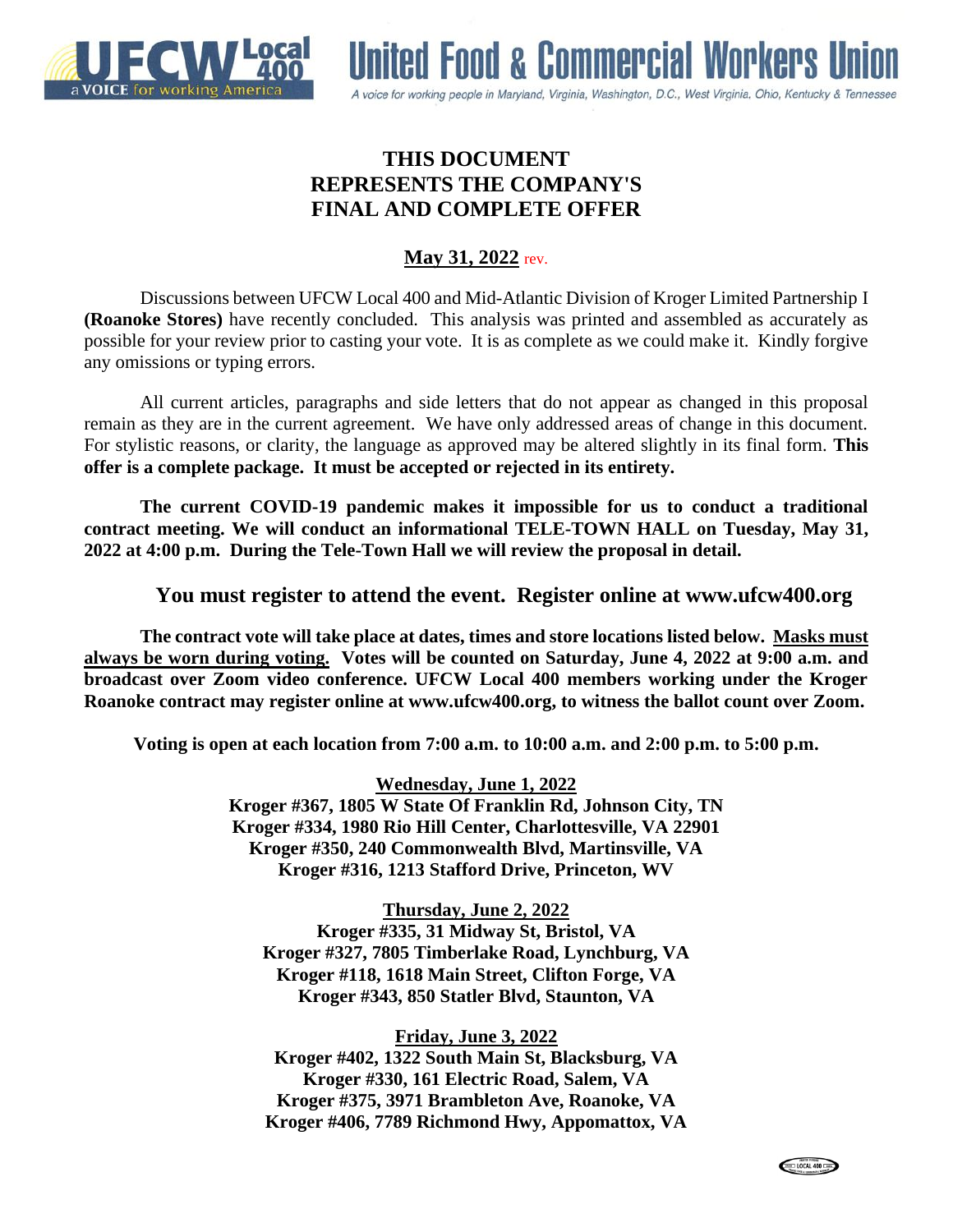



# **THIS DOCUMENT REPRESENTS THE COMPANY'S FINAL AND COMPLETE OFFER**

# **May 31, 2022** rev.

Discussions between UFCW Local 400 and Mid-Atlantic Division of Kroger Limited Partnership I **(Roanoke Stores)** have recently concluded. This analysis was printed and assembled as accurately as possible for your review prior to casting your vote. It is as complete as we could make it. Kindly forgive any omissions or typing errors.

All current articles, paragraphs and side letters that do not appear as changed in this proposal remain as they are in the current agreement. We have only addressed areas of change in this document. For stylistic reasons, or clarity, the language as approved may be altered slightly in its final form. **This offer is a complete package. It must be accepted or rejected in its entirety.**

**The current COVID-19 pandemic makes it impossible for us to conduct a traditional contract meeting. We will conduct an informational TELE-TOWN HALL on Tuesday, May 31, 2022 at 4:00 p.m. During the Tele-Town Hall we will review the proposal in detail.** 

## **You must register to attend the event. Register online at www.ufcw400.org**

**The contract vote will take place at dates, times and store locations listed below. Masks must always be worn during voting. Votes will be counted on Saturday, June 4, 2022 at 9:00 a.m. and broadcast over Zoom video conference. UFCW Local 400 members working under the Kroger Roanoke contract may register online at www.ufcw400.org, to witness the ballot count over Zoom.** 

**Voting is open at each location from 7:00 a.m. to 10:00 a.m. and 2:00 p.m. to 5:00 p.m.**

**Wednesday, June 1, 2022 Kroger #367, 1805 W State Of Franklin Rd, Johnson City, TN Kroger #334, 1980 Rio Hill Center, Charlottesville, VA 22901 Kroger #350, 240 Commonwealth Blvd, Martinsville, VA Kroger #316, 1213 Stafford Drive, Princeton, WV**

**Thursday, June 2, 2022 Kroger #335, 31 Midway St, Bristol, VA Kroger #327, 7805 Timberlake Road, Lynchburg, VA Kroger #118, 1618 Main Street, Clifton Forge, VA Kroger #343, 850 Statler Blvd, Staunton, VA**

**Friday, June 3, 2022**

**Kroger #402, 1322 South Main St, Blacksburg, VA Kroger #330, 161 Electric Road, Salem, VA Kroger #375, 3971 Brambleton Ave, Roanoke, VA Kroger #406, 7789 Richmond Hwy, Appomattox, VA**

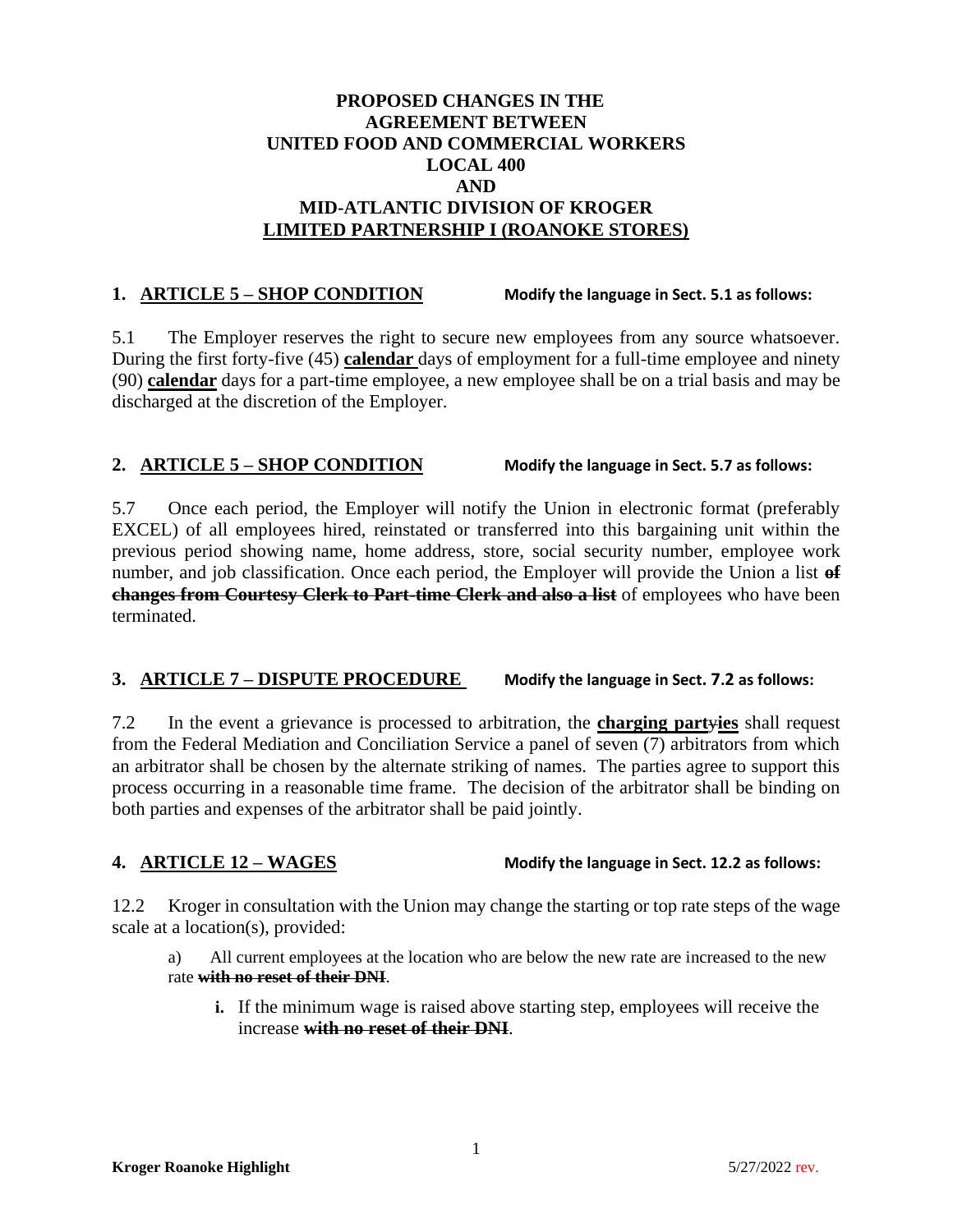## **PROPOSED CHANGES IN THE AGREEMENT BETWEEN UNITED FOOD AND COMMERCIAL WORKERS LOCAL 400 AND MID-ATLANTIC DIVISION OF KROGER LIMITED PARTNERSHIP I (ROANOKE STORES)**

## **1. ARTICLE 5 – SHOP CONDITION Modify the language in Sect. 5.1 as follows:**

5.1 The Employer reserves the right to secure new employees from any source whatsoever. During the first forty-five (45) **calendar** days of employment for a full-time employee and ninety (90) **calendar** days for a part-time employee, a new employee shall be on a trial basis and may be discharged at the discretion of the Employer.

## **2. ARTICLE 5 – SHOP CONDITION Modify the language in Sect. 5.7 as follows:**

5.7 Once each period, the Employer will notify the Union in electronic format (preferably EXCEL) of all employees hired, reinstated or transferred into this bargaining unit within the previous period showing name, home address, store, social security number, employee work number, and job classification. Once each period, the Employer will provide the Union a list **of changes from Courtesy Clerk to Part-time Clerk and also a list** of employees who have been terminated.

## **3. ARTICLE 7 – DISPUTE PROCEDURE Modify the language in Sect. 7.2 as follows:**

7.2 In the event a grievance is processed to arbitration, the **charging part**y**ies** shall request from the Federal Mediation and Conciliation Service a panel of seven (7) arbitrators from which an arbitrator shall be chosen by the alternate striking of names. The parties agree to support this process occurring in a reasonable time frame. The decision of the arbitrator shall be binding on both parties and expenses of the arbitrator shall be paid jointly.

## **4. ARTICLE 12 – WAGES Modify the language in Sect. 12.2 as follows:**

12.2 Kroger in consultation with the Union may change the starting or top rate steps of the wage scale at a location(s), provided:

a) All current employees at the location who are below the new rate are increased to the new rate **with no reset of their DNI**.

**i.** If the minimum wage is raised above starting step, employees will receive the increase **with no reset of their DNI**.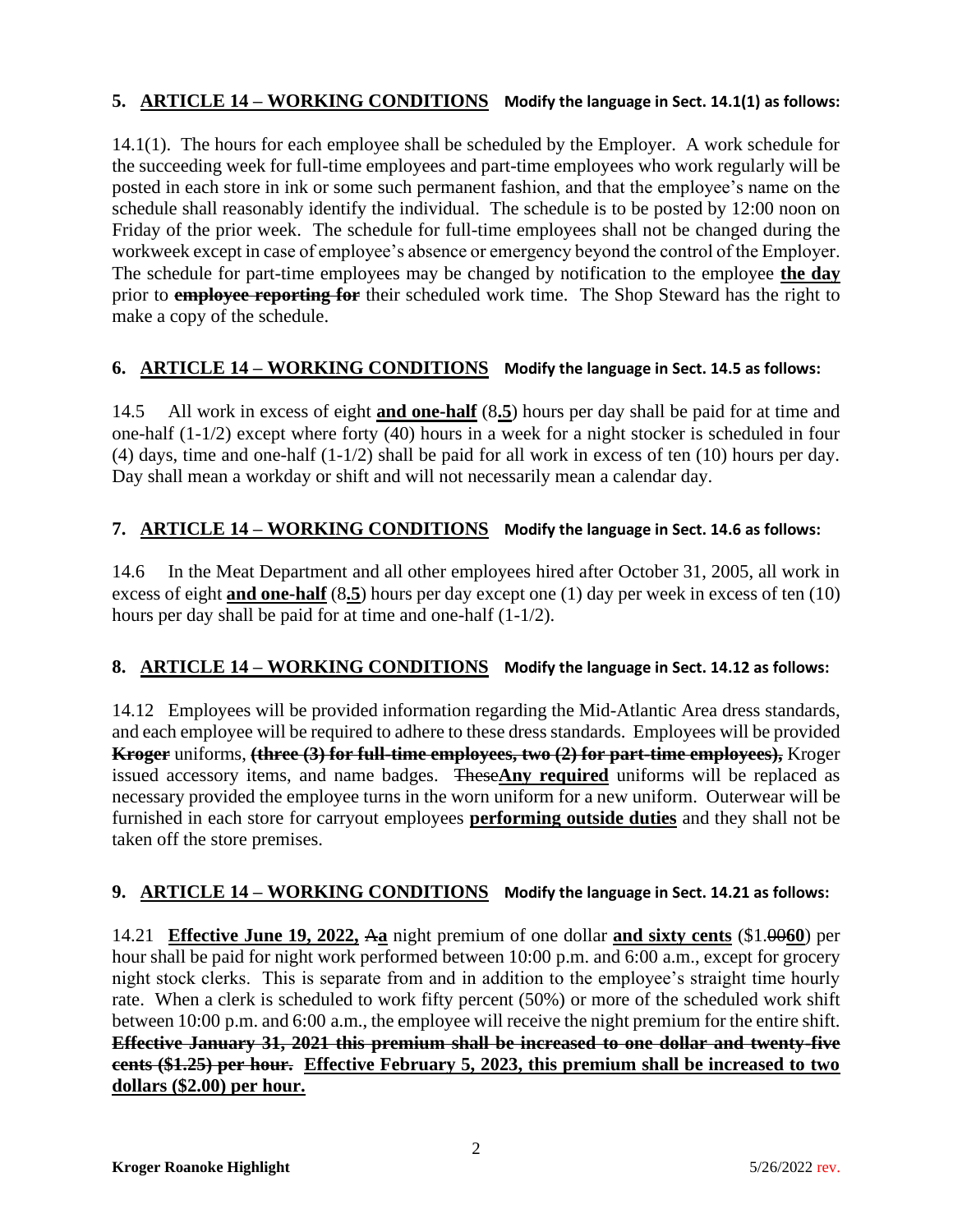## **5. ARTICLE 14 – WORKING CONDITIONS Modify the language in Sect. 14.1(1) as follows:**

14.1(1). The hours for each employee shall be scheduled by the Employer. A work schedule for the succeeding week for full-time employees and part-time employees who work regularly will be posted in each store in ink or some such permanent fashion, and that the employee's name on the schedule shall reasonably identify the individual. The schedule is to be posted by 12:00 noon on Friday of the prior week. The schedule for full-time employees shall not be changed during the workweek except in case of employee's absence or emergency beyond the control of the Employer. The schedule for part-time employees may be changed by notification to the employee **the day** prior to **employee reporting for** their scheduled work time. The Shop Steward has the right to make a copy of the schedule.

## **6. ARTICLE 14 – WORKING CONDITIONS Modify the language in Sect. 14.5 as follows:**

14.5 All work in excess of eight **and one-half** (8**.5**) hours per day shall be paid for at time and one-half (1-1/2) except where forty (40) hours in a week for a night stocker is scheduled in four (4) days, time and one-half (1-1/2) shall be paid for all work in excess of ten (10) hours per day. Day shall mean a workday or shift and will not necessarily mean a calendar day.

## **7. ARTICLE 14 – WORKING CONDITIONS Modify the language in Sect. 14.6 as follows:**

14.6 In the Meat Department and all other employees hired after October 31, 2005, all work in excess of eight **and one-half** (8**.5**) hours per day except one (1) day per week in excess of ten (10) hours per day shall be paid for at time and one-half (1-1/2).

## **8. ARTICLE 14 – WORKING CONDITIONS Modify the language in Sect. 14.12 as follows:**

14.12 Employees will be provided information regarding the Mid-Atlantic Area dress standards, and each employee will be required to adhere to these dress standards. Employees will be provided **Kroger** uniforms, **(three (3) for full-time employees, two (2) for part-time employees),** Kroger issued accessory items, and name badges. These**Any required** uniforms will be replaced as necessary provided the employee turns in the worn uniform for a new uniform. Outerwear will be furnished in each store for carryout employees **performing outside duties** and they shall not be taken off the store premises.

## **9. ARTICLE 14 – WORKING CONDITIONS Modify the language in Sect. 14.21 as follows:**

14.21 **Effective June 19, 2022,** A**a** night premium of one dollar **and sixty cents** (\$1.00**60**) per hour shall be paid for night work performed between 10:00 p.m. and 6:00 a.m., except for grocery night stock clerks. This is separate from and in addition to the employee's straight time hourly rate. When a clerk is scheduled to work fifty percent (50%) or more of the scheduled work shift between 10:00 p.m. and 6:00 a.m., the employee will receive the night premium for the entire shift. **Effective January 31, 2021 this premium shall be increased to one dollar and twenty-five cents (\$1.25) per hour. Effective February 5, 2023, this premium shall be increased to two dollars (\$2.00) per hour.**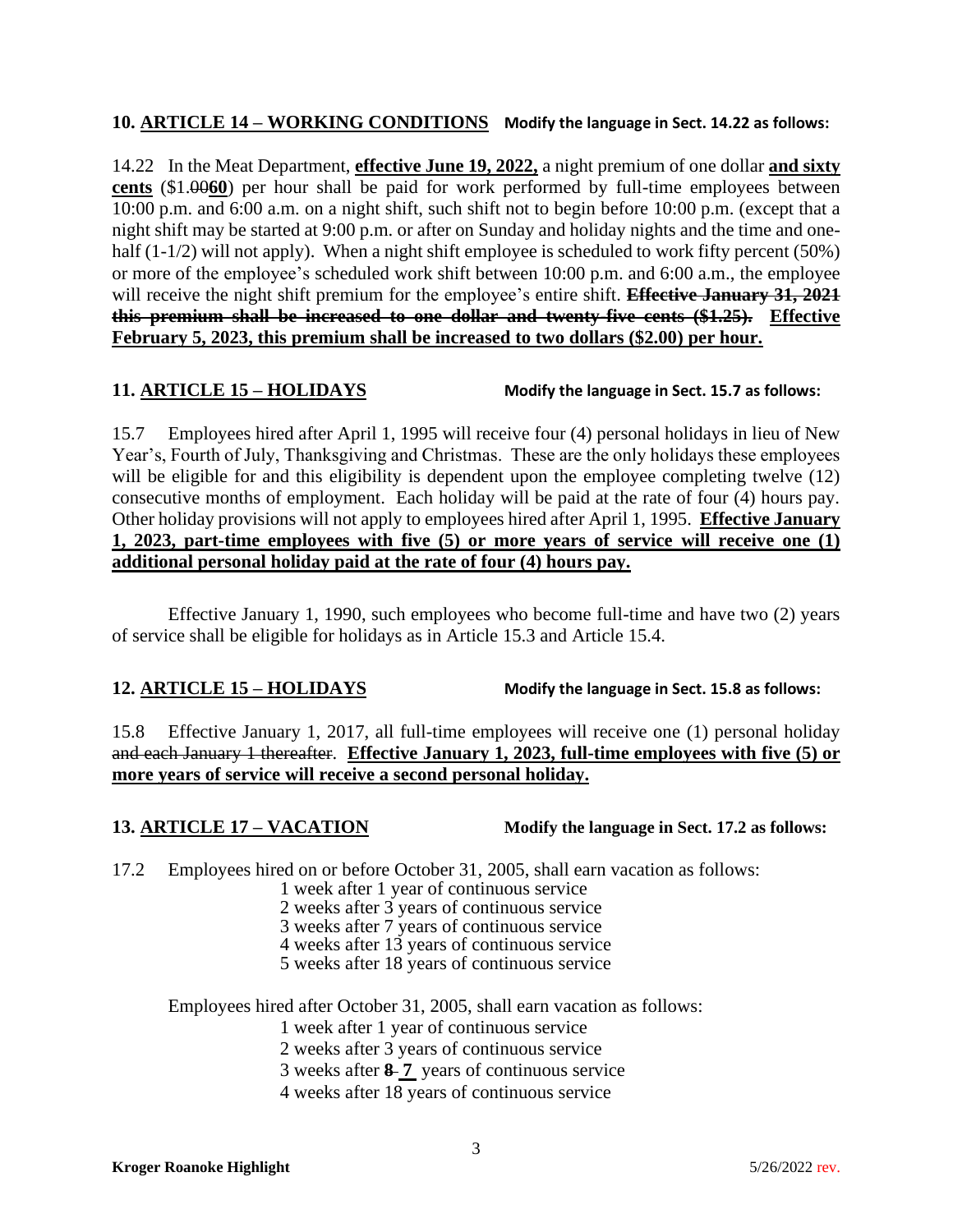## **10. ARTICLE 14 – WORKING CONDITIONS Modify the language in Sect. 14.22 as follows:**

14.22 In the Meat Department, **effective June 19, 2022,** a night premium of one dollar **and sixty cents** (\$1.00**60**) per hour shall be paid for work performed by full-time employees between 10:00 p.m. and 6:00 a.m. on a night shift, such shift not to begin before 10:00 p.m. (except that a night shift may be started at 9:00 p.m. or after on Sunday and holiday nights and the time and onehalf  $(1-1/2)$  will not apply). When a night shift employee is scheduled to work fifty percent (50%) or more of the employee's scheduled work shift between 10:00 p.m. and 6:00 a.m., the employee will receive the night shift premium for the employee's entire shift. **Effective January 31, 2021 this premium shall be increased to one dollar and twenty-five cents (\$1.25). Effective February 5, 2023, this premium shall be increased to two dollars (\$2.00) per hour.**

**11. ARTICLE 15 – HOLIDAYS Modify the language in Sect. 15.7 as follows:**

15.7 Employees hired after April 1, 1995 will receive four (4) personal holidays in lieu of New Year's, Fourth of July, Thanksgiving and Christmas. These are the only holidays these employees will be eligible for and this eligibility is dependent upon the employee completing twelve (12) consecutive months of employment. Each holiday will be paid at the rate of four (4) hours pay. Other holiday provisions will not apply to employees hired after April 1, 1995. **Effective January 1, 2023, part-time employees with five (5) or more years of service will receive one (1) additional personal holiday paid at the rate of four (4) hours pay.**

Effective January 1, 1990, such employees who become full-time and have two (2) years of service shall be eligible for holidays as in Article 15.3 and Article 15.4.

**12. ARTICLE 15 – HOLIDAYS Modify the language in Sect. 15.8 as follows:**

15.8 Effective January 1, 2017, all full-time employees will receive one (1) personal holiday and each January 1 thereafter. **Effective January 1, 2023, full-time employees with five (5) or more years of service will receive a second personal holiday.**

**13. ARTICLE 17 – VACATION Modify the language in Sect. 17.2 as follows:**

17.2 Employees hired on or before October 31, 2005, shall earn vacation as follows:

- 1 week after 1 year of continuous service
- 2 weeks after 3 years of continuous service
- 3 weeks after 7 years of continuous service
- 4 weeks after 13 years of continuous service
- 5 weeks after 18 years of continuous service

Employees hired after October 31, 2005, shall earn vacation as follows:

1 week after 1 year of continuous service

2 weeks after 3 years of continuous service

3 weeks after **8 7** years of continuous service

4 weeks after 18 years of continuous service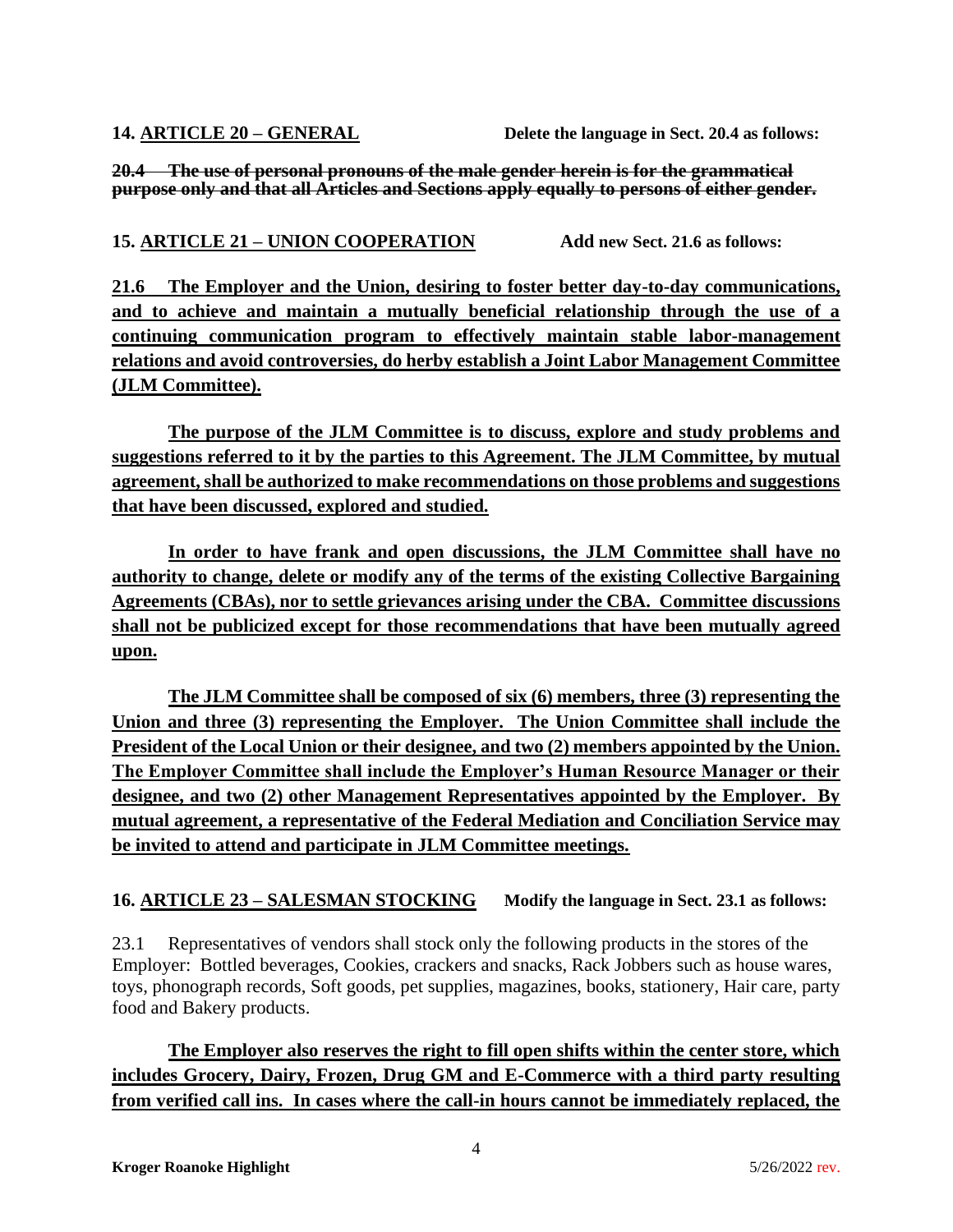**14. ARTICLE 20 – GENERAL Delete the language in Sect. 20.4 as follows:**

**20.4 The use of personal pronouns of the male gender herein is for the grammatical purpose only and that all Articles and Sections apply equally to persons of either gender.**

# **15. ARTICLE 21 – UNION COOPERATION Add new Sect. 21.6 as follows:**

**21.6 The Employer and the Union, desiring to foster better day-to-day communications, and to achieve and maintain a mutually beneficial relationship through the use of a continuing communication program to effectively maintain stable labor-management relations and avoid controversies, do herby establish a Joint Labor Management Committee (JLM Committee).** 

**The purpose of the JLM Committee is to discuss, explore and study problems and suggestions referred to it by the parties to this Agreement. The JLM Committee, by mutual agreement, shall be authorized to make recommendations on those problems and suggestions that have been discussed, explored and studied.** 

**In order to have frank and open discussions, the JLM Committee shall have no authority to change, delete or modify any of the terms of the existing Collective Bargaining Agreements (CBAs), nor to settle grievances arising under the CBA. Committee discussions shall not be publicized except for those recommendations that have been mutually agreed upon.**

**The JLM Committee shall be composed of six (6) members, three (3) representing the Union and three (3) representing the Employer. The Union Committee shall include the President of the Local Union or their designee, and two (2) members appointed by the Union. The Employer Committee shall include the Employer's Human Resource Manager or their designee, and two (2) other Management Representatives appointed by the Employer. By mutual agreement, a representative of the Federal Mediation and Conciliation Service may be invited to attend and participate in JLM Committee meetings.**

# **16. ARTICLE 23 – SALESMAN STOCKING Modify the language in Sect. 23.1 as follows:**

23.1 Representatives of vendors shall stock only the following products in the stores of the Employer: Bottled beverages, Cookies, crackers and snacks, Rack Jobbers such as house wares, toys, phonograph records, Soft goods, pet supplies, magazines, books, stationery, Hair care, party food and Bakery products.

**The Employer also reserves the right to fill open shifts within the center store, which includes Grocery, Dairy, Frozen, Drug GM and E-Commerce with a third party resulting from verified call ins. In cases where the call-in hours cannot be immediately replaced, the**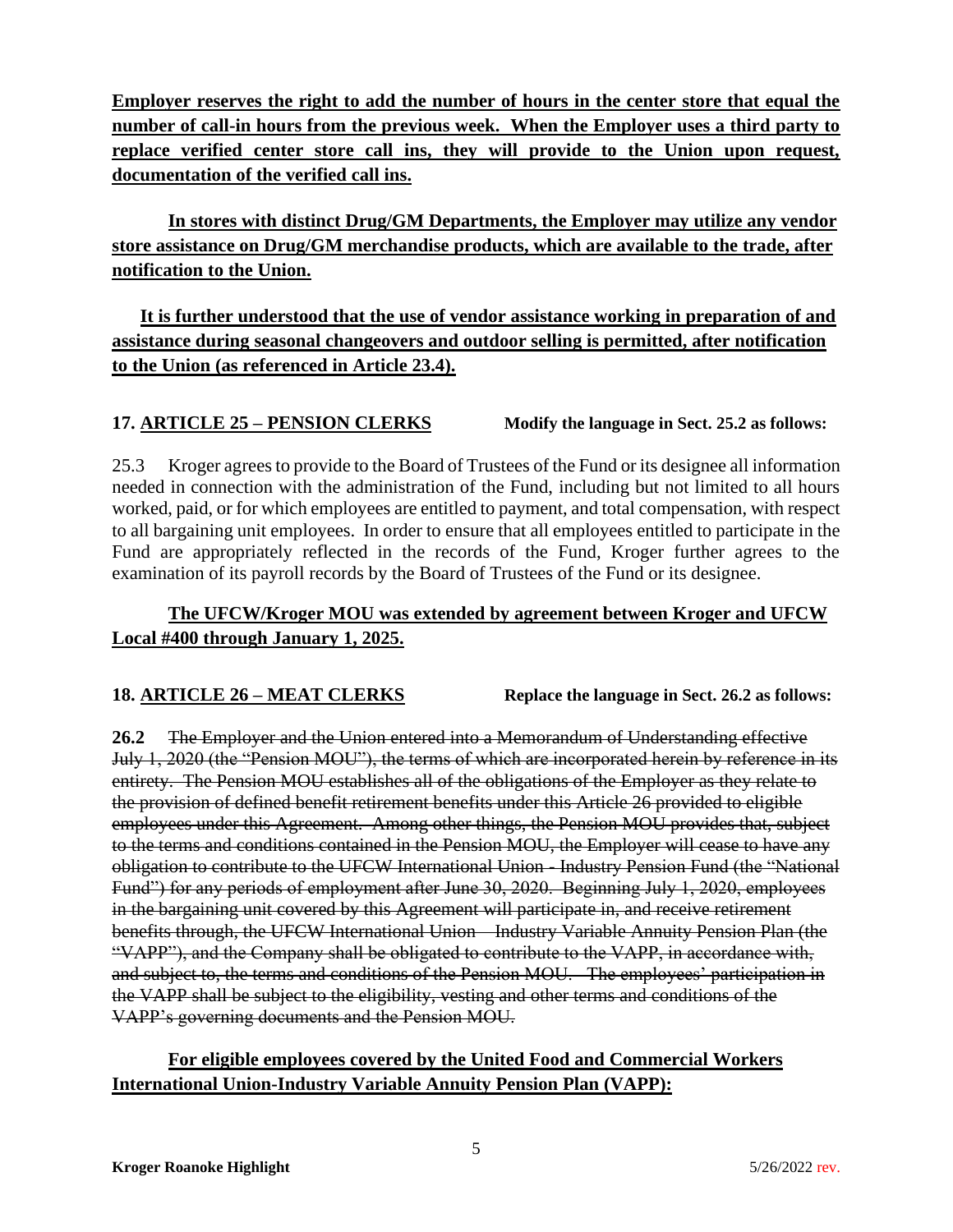**Employer reserves the right to add the number of hours in the center store that equal the number of call-in hours from the previous week. When the Employer uses a third party to replace verified center store call ins, they will provide to the Union upon request, documentation of the verified call ins.**

**In stores with distinct Drug/GM Departments, the Employer may utilize any vendor store assistance on Drug/GM merchandise products, which are available to the trade, after notification to the Union.** 

**It is further understood that the use of vendor assistance working in preparation of and assistance during seasonal changeovers and outdoor selling is permitted, after notification to the Union (as referenced in Article 23.4).**

# **17. ARTICLE 25 – PENSION CLERKS Modify the language in Sect. 25.2** as follows:

25.3 Kroger agrees to provide to the Board of Trustees of the Fund or its designee all information needed in connection with the administration of the Fund, including but not limited to all hours worked, paid, or for which employees are entitled to payment, and total compensation, with respect to all bargaining unit employees. In order to ensure that all employees entitled to participate in the Fund are appropriately reflected in the records of the Fund, Kroger further agrees to the examination of its payroll records by the Board of Trustees of the Fund or its designee.

# **The UFCW/Kroger MOU was extended by agreement between Kroger and UFCW Local #400 through January 1, 2025.**

**18. ARTICLE 26 – MEAT CLERKS Replace the language in Sect. 26.2 as follows:**

**26.2** The Employer and the Union entered into a Memorandum of Understanding effective July 1, 2020 (the "Pension MOU"), the terms of which are incorporated herein by reference in its entirety. The Pension MOU establishes all of the obligations of the Employer as they relate to the provision of defined benefit retirement benefits under this Article 26 provided to eligible employees under this Agreement. Among other things, the Pension MOU provides that, subject to the terms and conditions contained in the Pension MOU, the Employer will cease to have any obligation to contribute to the UFCW International Union - Industry Pension Fund (the "National Fund") for any periods of employment after June 30, 2020. Beginning July 1, 2020, employees in the bargaining unit covered by this Agreement will participate in, and receive retirement benefits through, the UFCW International Union – Industry Variable Annuity Pension Plan (the "VAPP"), and the Company shall be obligated to contribute to the VAPP, in accordance with, and subject to, the terms and conditions of the Pension MOU. The employees' participation in the VAPP shall be subject to the eligibility, vesting and other terms and conditions of the VAPP's governing documents and the Pension MOU.

# **For eligible employees covered by the United Food and Commercial Workers International Union-Industry Variable Annuity Pension Plan (VAPP):**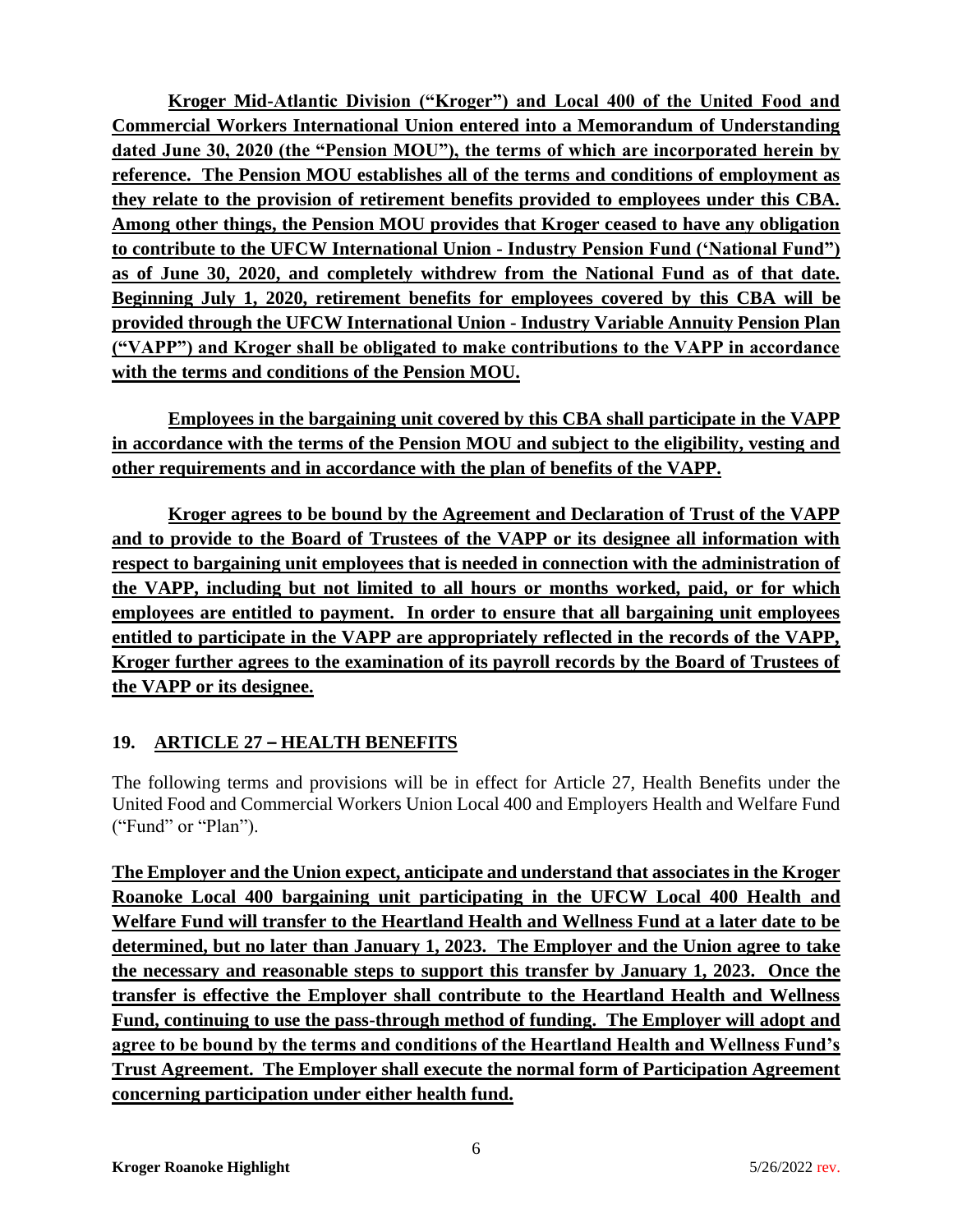**Kroger Mid-Atlantic Division ("Kroger") and Local 400 of the United Food and Commercial Workers International Union entered into a Memorandum of Understanding dated June 30, 2020 (the "Pension MOU"), the terms of which are incorporated herein by reference. The Pension MOU establishes all of the terms and conditions of employment as they relate to the provision of retirement benefits provided to employees under this CBA. Among other things, the Pension MOU provides that Kroger ceased to have any obligation to contribute to the UFCW International Union - Industry Pension Fund ('National Fund") as of June 30, 2020, and completely withdrew from the National Fund as of that date. Beginning July 1, 2020, retirement benefits for employees covered by this CBA will be provided through the UFCW International Union - Industry Variable Annuity Pension Plan ("VAPP") and Kroger shall be obligated to make contributions to the VAPP in accordance with the terms and conditions of the Pension MOU.** 

**Employees in the bargaining unit covered by this CBA shall participate in the VAPP in accordance with the terms of the Pension MOU and subject to the eligibility, vesting and other requirements and in accordance with the plan of benefits of the VAPP.**

**Kroger agrees to be bound by the Agreement and Declaration of Trust of the VAPP and to provide to the Board of Trustees of the VAPP or its designee all information with respect to bargaining unit employees that is needed in connection with the administration of the VAPP, including but not limited to all hours or months worked, paid, or for which employees are entitled to payment. In order to ensure that all bargaining unit employees entitled to participate in the VAPP are appropriately reflected in the records of the VAPP, Kroger further agrees to the examination of its payroll records by the Board of Trustees of the VAPP or its designee.**

# **19. ARTICLE 27 – HEALTH BENEFITS**

The following terms and provisions will be in effect for Article 27, Health Benefits under the United Food and Commercial Workers Union Local 400 and Employers Health and Welfare Fund ("Fund" or "Plan").

**The Employer and the Union expect, anticipate and understand that associates in the Kroger Roanoke Local 400 bargaining unit participating in the UFCW Local 400 Health and Welfare Fund will transfer to the Heartland Health and Wellness Fund at a later date to be determined, but no later than January 1, 2023. The Employer and the Union agree to take the necessary and reasonable steps to support this transfer by January 1, 2023. Once the transfer is effective the Employer shall contribute to the Heartland Health and Wellness Fund, continuing to use the pass-through method of funding. The Employer will adopt and agree to be bound by the terms and conditions of the Heartland Health and Wellness Fund's Trust Agreement. The Employer shall execute the normal form of Participation Agreement concerning participation under either health fund.**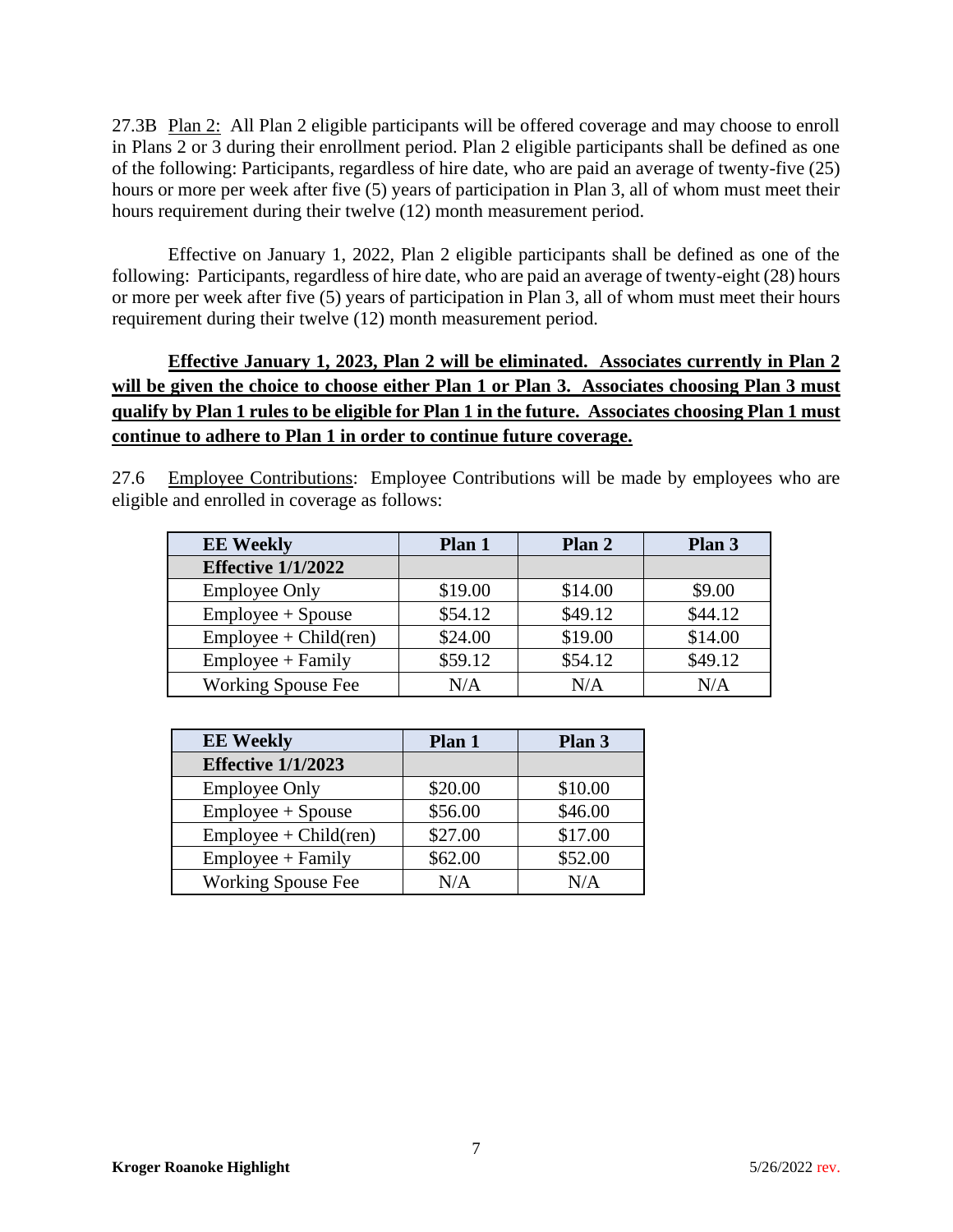27.3B Plan 2: All Plan 2 eligible participants will be offered coverage and may choose to enroll in Plans 2 or 3 during their enrollment period. Plan 2 eligible participants shall be defined as one of the following: Participants, regardless of hire date, who are paid an average of twenty-five (25) hours or more per week after five (5) years of participation in Plan 3, all of whom must meet their hours requirement during their twelve (12) month measurement period.

Effective on January 1, 2022, Plan 2 eligible participants shall be defined as one of the following: Participants, regardless of hire date, who are paid an average of twenty-eight (28) hours or more per week after five (5) years of participation in Plan 3, all of whom must meet their hours requirement during their twelve (12) month measurement period.

**Effective January 1, 2023, Plan 2 will be eliminated. Associates currently in Plan 2 will be given the choice to choose either Plan 1 or Plan 3. Associates choosing Plan 3 must qualify by Plan 1 rules to be eligible for Plan 1 in the future. Associates choosing Plan 1 must continue to adhere to Plan 1 in order to continue future coverage.**

27.6 Employee Contributions: Employee Contributions will be made by employees who are eligible and enrolled in coverage as follows:

| <b>EE Weekly</b>          | Plan 1  | Plan 2  | Plan 3  |
|---------------------------|---------|---------|---------|
| <b>Effective 1/1/2022</b> |         |         |         |
| <b>Employee Only</b>      | \$19.00 | \$14.00 | \$9.00  |
| Employee + Spouse         | \$54.12 | \$49.12 | \$44.12 |
| $Employee + Child (ren)$  | \$24.00 | \$19.00 | \$14.00 |
| Employee + Family         | \$59.12 | \$54.12 | \$49.12 |
| <b>Working Spouse Fee</b> | N/A     | N/A     | N/A     |

| <b>EE Weekly</b>          | Plan 1  | Plan 3  |
|---------------------------|---------|---------|
| <b>Effective 1/1/2023</b> |         |         |
| <b>Employee Only</b>      | \$20.00 | \$10.00 |
| Employee + Spouse         | \$56.00 | \$46.00 |
| $Employee + Child (ren)$  | \$27.00 | \$17.00 |
| $Employee + Family$       | \$62.00 | \$52.00 |
| <b>Working Spouse Fee</b> | N/A     | N/A     |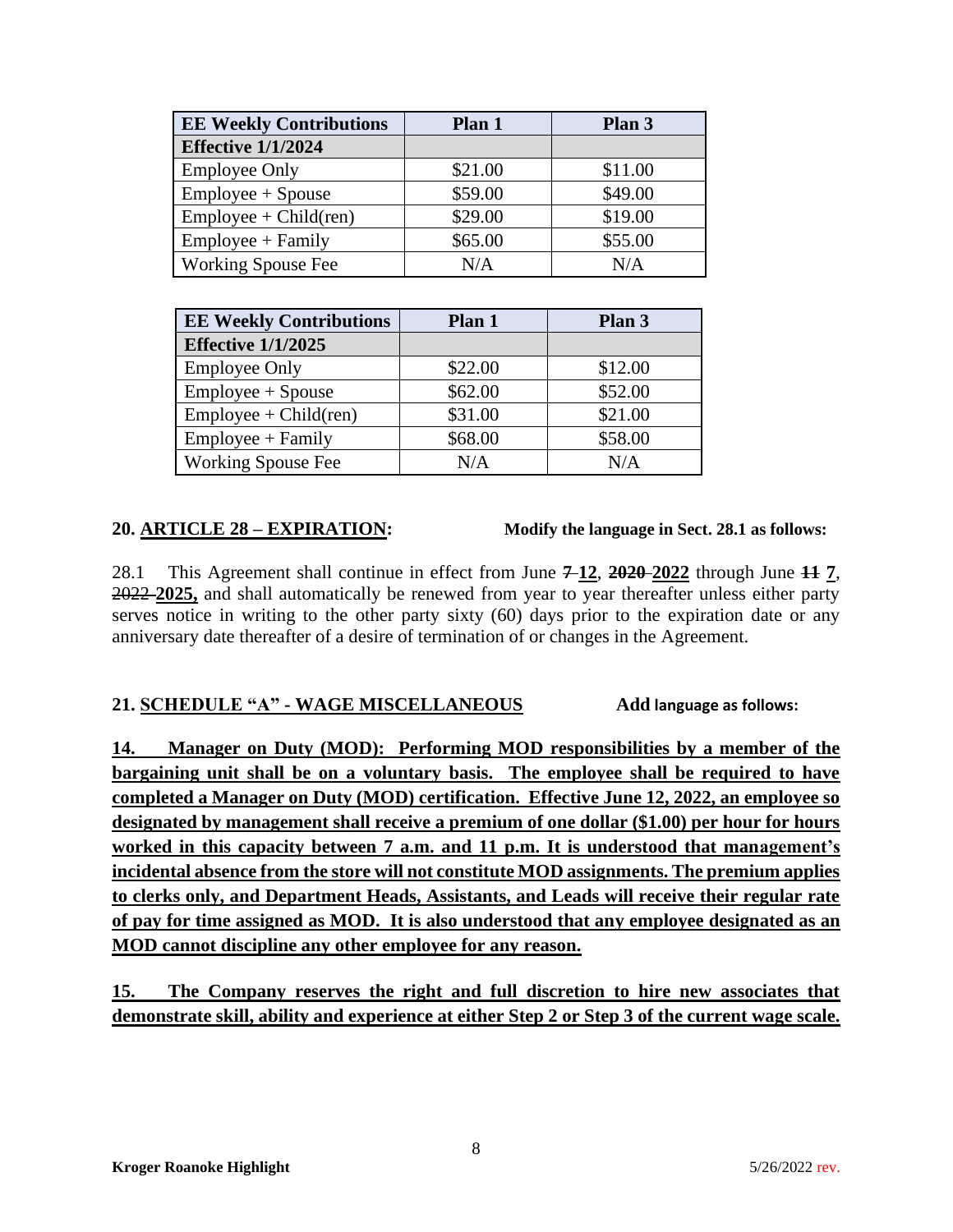| <b>EE Weekly Contributions</b> | Plan 1  | Plan 3  |
|--------------------------------|---------|---------|
| <b>Effective 1/1/2024</b>      |         |         |
| <b>Employee Only</b>           | \$21.00 | \$11.00 |
| $Employee + Spouse$            | \$59.00 | \$49.00 |
| $Employee + Child (ren)$       | \$29.00 | \$19.00 |
| $Employee + Family$            | \$65.00 | \$55.00 |
| <b>Working Spouse Fee</b>      | N/A     | N/A     |

| <b>EE Weekly Contributions</b> | Plan 1  | Plan 3  |
|--------------------------------|---------|---------|
| <b>Effective 1/1/2025</b>      |         |         |
| <b>Employee Only</b>           | \$22.00 | \$12.00 |
| Employee + Spouse              | \$62.00 | \$52.00 |
| $Employee + Child (ren)$       | \$31.00 | \$21.00 |
| $Employee + Family$            | \$68.00 | \$58.00 |
| <b>Working Spouse Fee</b>      | N/A     | N/A     |

**20. ARTICLE 28 – EXPIRATION: Modify the language in Sect. 28.1 as follows:**

28.1 This Agreement shall continue in effect from June **7 12**, **2020 2022** through June **11 7**, 2022 **2025,** and shall automatically be renewed from year to year thereafter unless either party serves notice in writing to the other party sixty (60) days prior to the expiration date or any anniversary date thereafter of a desire of termination of or changes in the Agreement.

## **21. SCHEDULE "A" - WAGE MISCELLANEOUS Add language as follows:**

**14. Manager on Duty (MOD): Performing MOD responsibilities by a member of the bargaining unit shall be on a voluntary basis. The employee shall be required to have completed a Manager on Duty (MOD) certification. Effective June 12, 2022, an employee so designated by management shall receive a premium of one dollar (\$1.00) per hour for hours worked in this capacity between 7 a.m. and 11 p.m. It is understood that management's incidental absence from the store will not constitute MOD assignments. The premium applies to clerks only, and Department Heads, Assistants, and Leads will receive their regular rate of pay for time assigned as MOD. It is also understood that any employee designated as an MOD cannot discipline any other employee for any reason.**

**15. The Company reserves the right and full discretion to hire new associates that demonstrate skill, ability and experience at either Step 2 or Step 3 of the current wage scale.**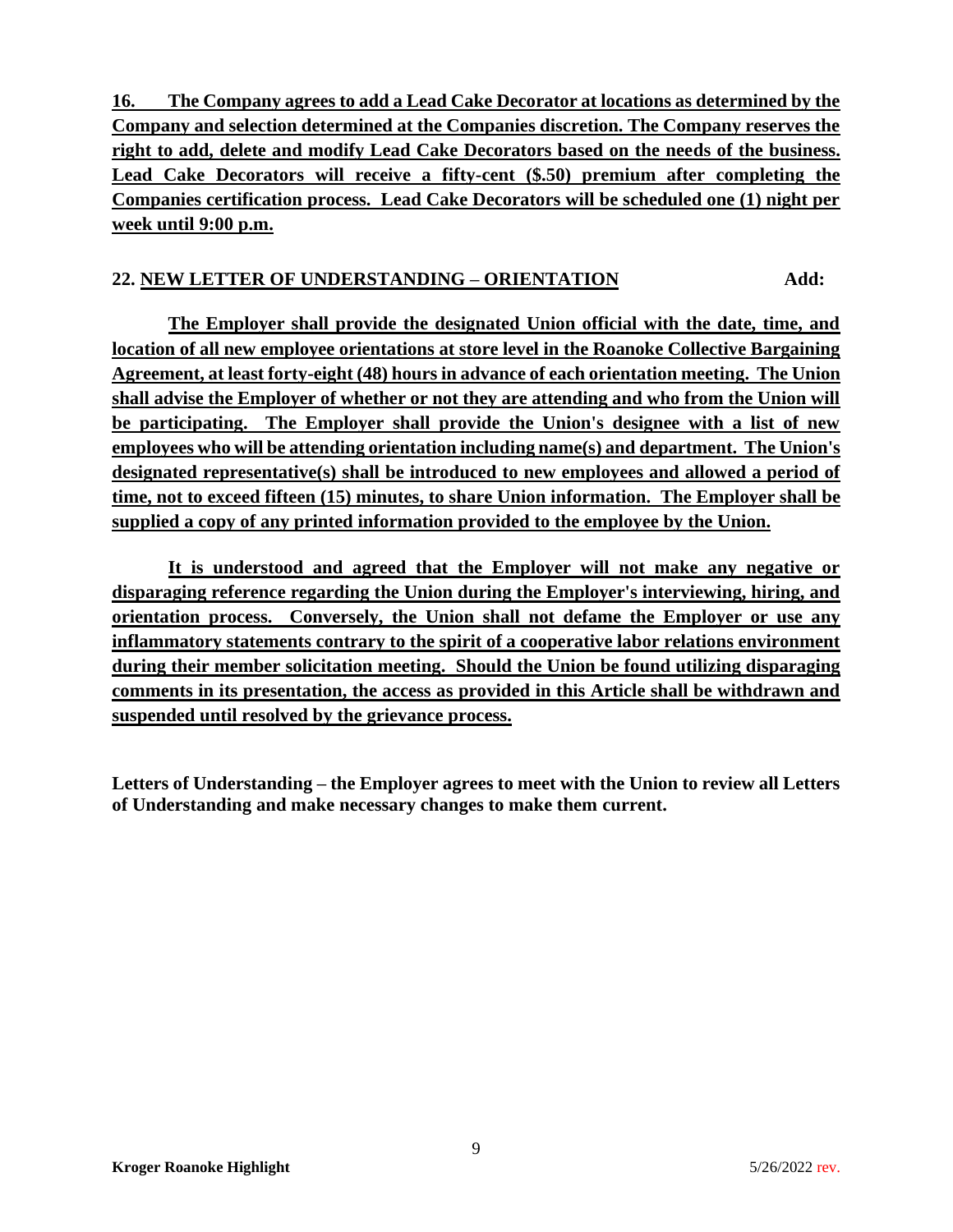**16. The Company agrees to add a Lead Cake Decorator at locations as determined by the Company and selection determined at the Companies discretion. The Company reserves the right to add, delete and modify Lead Cake Decorators based on the needs of the business. Lead Cake Decorators will receive a fifty-cent (\$.50) premium after completing the Companies certification process. Lead Cake Decorators will be scheduled one (1) night per week until 9:00 p.m.**

## **22. NEW LETTER OF UNDERSTANDING – ORIENTATION Add:**

**The Employer shall provide the designated Union official with the date, time, and location of all new employee orientations at store level in the Roanoke Collective Bargaining Agreement, at least forty-eight (48) hours in advance of each orientation meeting. The Union shall advise the Employer of whether or not they are attending and who from the Union will be participating. The Employer shall provide the Union's designee with a list of new employees who will be attending orientation including name(s) and department. The Union's designated representative(s) shall be introduced to new employees and allowed a period of time, not to exceed fifteen (15) minutes, to share Union information. The Employer shall be supplied a copy of any printed information provided to the employee by the Union.**

**It is understood and agreed that the Employer will not make any negative or disparaging reference regarding the Union during the Employer's interviewing, hiring, and orientation process. Conversely, the Union shall not defame the Employer or use any inflammatory statements contrary to the spirit of a cooperative labor relations environment during their member solicitation meeting. Should the Union be found utilizing disparaging comments in its presentation, the access as provided in this Article shall be withdrawn and suspended until resolved by the grievance process.**

**Letters of Understanding – the Employer agrees to meet with the Union to review all Letters of Understanding and make necessary changes to make them current.**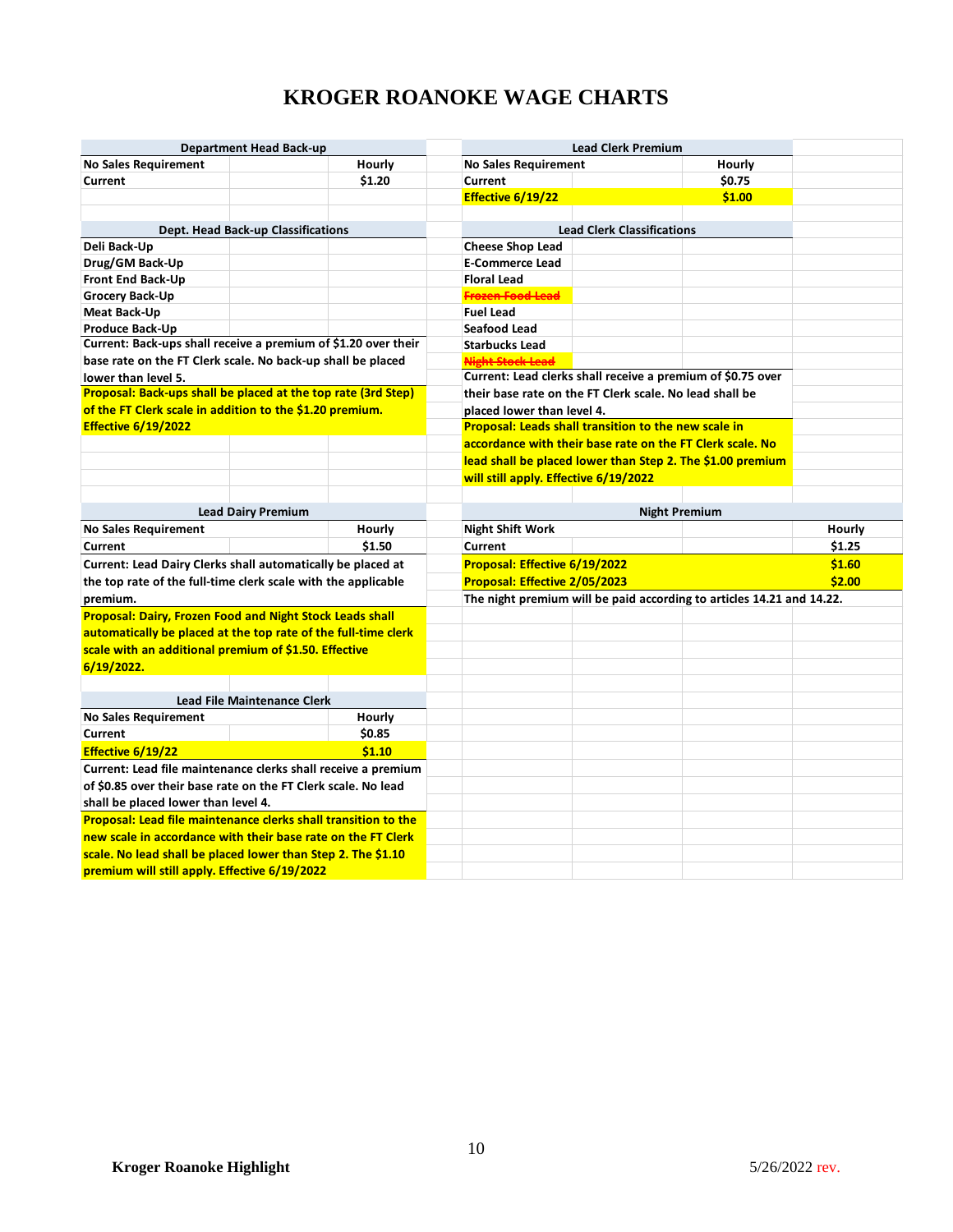# **KROGER ROANOKE WAGE CHARTS**

|                                                                       | <b>Department Head Back-up</b>     |                  |                                        | <b>Lead Clerk Premium</b>                                             |                  |        |
|-----------------------------------------------------------------------|------------------------------------|------------------|----------------------------------------|-----------------------------------------------------------------------|------------------|--------|
| <b>No Sales Requirement</b><br>Current                                |                                    | Hourly<br>\$1.20 | <b>No Sales Requirement</b><br>Current |                                                                       | Hourly<br>\$0.75 |        |
|                                                                       |                                    |                  | Effective 6/19/22                      |                                                                       | \$1.00           |        |
|                                                                       |                                    |                  |                                        |                                                                       |                  |        |
|                                                                       | Dept. Head Back-up Classifications |                  |                                        | <b>Lead Clerk Classifications</b>                                     |                  |        |
| Deli Back-Up                                                          |                                    |                  | <b>Cheese Shop Lead</b>                |                                                                       |                  |        |
| Drug/GM Back-Up                                                       |                                    |                  | <b>E-Commerce Lead</b>                 |                                                                       |                  |        |
| Front End Back-Up                                                     |                                    |                  | <b>Floral Lead</b>                     |                                                                       |                  |        |
| <b>Grocery Back-Up</b>                                                |                                    |                  | Frozen Food Lead                       |                                                                       |                  |        |
| <b>Meat Back-Up</b>                                                   |                                    |                  | <b>Fuel Lead</b>                       |                                                                       |                  |        |
| <b>Produce Back-Up</b>                                                |                                    |                  | Seafood Lead                           |                                                                       |                  |        |
| Current: Back-ups shall receive a premium of \$1.20 over their        |                                    |                  | <b>Starbucks Lead</b>                  |                                                                       |                  |        |
| base rate on the FT Clerk scale. No back-up shall be placed           |                                    |                  | <b>Night Stock Lead</b>                |                                                                       |                  |        |
| lower than level 5.                                                   |                                    |                  |                                        | Current: Lead clerks shall receive a premium of \$0.75 over           |                  |        |
| Proposal: Back-ups shall be placed at the top rate (3rd Step)         |                                    |                  |                                        | their base rate on the FT Clerk scale. No lead shall be               |                  |        |
| of the FT Clerk scale in addition to the \$1.20 premium.              |                                    |                  | placed lower than level 4.             |                                                                       |                  |        |
| <b>Effective 6/19/2022</b>                                            |                                    |                  |                                        | <b>Proposal: Leads shall transition to the new scale in</b>           |                  |        |
|                                                                       |                                    |                  |                                        | accordance with their base rate on the FT Clerk scale. No             |                  |        |
|                                                                       |                                    |                  |                                        | lead shall be placed lower than Step 2. The \$1.00 premium            |                  |        |
|                                                                       |                                    |                  | will still apply. Effective 6/19/2022  |                                                                       |                  |        |
|                                                                       |                                    |                  |                                        |                                                                       |                  |        |
|                                                                       | <b>Lead Dairy Premium</b>          |                  |                                        | <b>Night Premium</b>                                                  |                  |        |
| <b>No Sales Requirement</b>                                           |                                    | Hourly           | <b>Night Shift Work</b>                |                                                                       |                  | Hourly |
| Current                                                               |                                    | \$1.50           | Current                                |                                                                       |                  | \$1.25 |
|                                                                       |                                    |                  |                                        |                                                                       |                  |        |
| Current: Lead Dairy Clerks shall automatically be placed at           |                                    |                  | Proposal: Effective 6/19/2022          |                                                                       |                  | \$1.60 |
| the top rate of the full-time clerk scale with the applicable         |                                    |                  | Proposal: Effective 2/05/2023          |                                                                       |                  | \$2.00 |
| premium.                                                              |                                    |                  |                                        | The night premium will be paid according to articles 14.21 and 14.22. |                  |        |
| <b>Proposal: Dairy, Frozen Food and Night Stock Leads shall</b>       |                                    |                  |                                        |                                                                       |                  |        |
| automatically be placed at the top rate of the full-time clerk        |                                    |                  |                                        |                                                                       |                  |        |
| scale with an additional premium of \$1.50. Effective                 |                                    |                  |                                        |                                                                       |                  |        |
| 6/19/2022.                                                            |                                    |                  |                                        |                                                                       |                  |        |
|                                                                       |                                    |                  |                                        |                                                                       |                  |        |
|                                                                       | <b>Lead File Maintenance Clerk</b> |                  |                                        |                                                                       |                  |        |
| <b>No Sales Requirement</b>                                           |                                    | Hourly           |                                        |                                                                       |                  |        |
| Current                                                               |                                    | \$0.85           |                                        |                                                                       |                  |        |
| Effective 6/19/22                                                     |                                    | \$1.10           |                                        |                                                                       |                  |        |
| Current: Lead file maintenance clerks shall receive a premium         |                                    |                  |                                        |                                                                       |                  |        |
| of \$0.85 over their base rate on the FT Clerk scale. No lead         |                                    |                  |                                        |                                                                       |                  |        |
| shall be placed lower than level 4.                                   |                                    |                  |                                        |                                                                       |                  |        |
| <b>Proposal: Lead file maintenance clerks shall transition to the</b> |                                    |                  |                                        |                                                                       |                  |        |
| new scale in accordance with their base rate on the FT Clerk          |                                    |                  |                                        |                                                                       |                  |        |
| scale. No lead shall be placed lower than Step 2. The \$1.10          |                                    |                  |                                        |                                                                       |                  |        |
| premium will still apply. Effective 6/19/2022                         |                                    |                  |                                        |                                                                       |                  |        |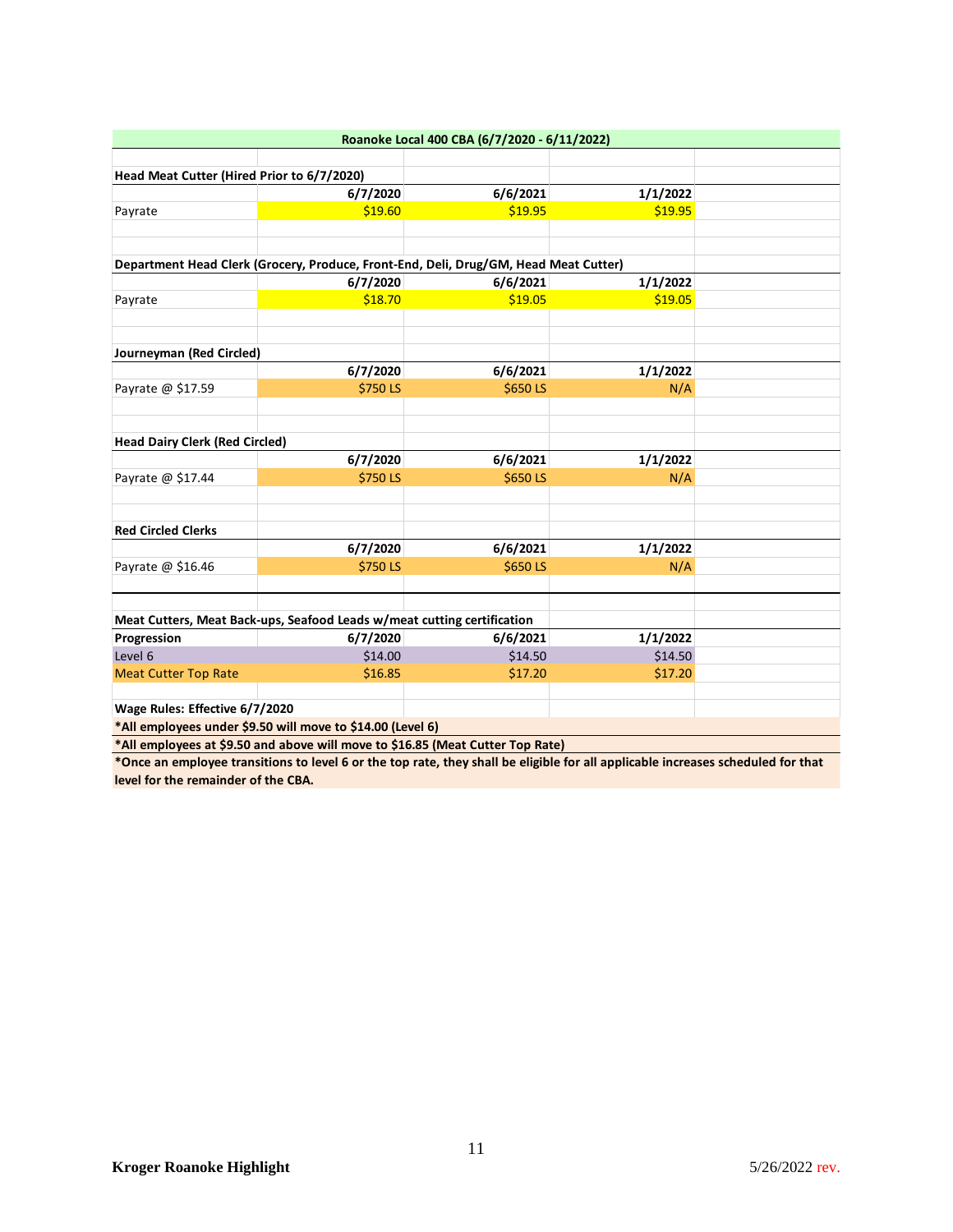|                                                                                                                                                                                                                                 |                                                                                      | Roanoke Local 400 CBA (6/7/2020 - 6/11/2022)                                                                                                                                                                                                                                                                                                                                         |          |  |
|---------------------------------------------------------------------------------------------------------------------------------------------------------------------------------------------------------------------------------|--------------------------------------------------------------------------------------|--------------------------------------------------------------------------------------------------------------------------------------------------------------------------------------------------------------------------------------------------------------------------------------------------------------------------------------------------------------------------------------|----------|--|
|                                                                                                                                                                                                                                 |                                                                                      |                                                                                                                                                                                                                                                                                                                                                                                      |          |  |
| Head Meat Cutter (Hired Prior to 6/7/2020)                                                                                                                                                                                      |                                                                                      |                                                                                                                                                                                                                                                                                                                                                                                      |          |  |
|                                                                                                                                                                                                                                 | 6/7/2020                                                                             | 6/6/2021                                                                                                                                                                                                                                                                                                                                                                             | 1/1/2022 |  |
| Payrate                                                                                                                                                                                                                         | \$19.60                                                                              | \$19.95                                                                                                                                                                                                                                                                                                                                                                              | \$19.95  |  |
|                                                                                                                                                                                                                                 |                                                                                      |                                                                                                                                                                                                                                                                                                                                                                                      |          |  |
|                                                                                                                                                                                                                                 | Department Head Clerk (Grocery, Produce, Front-End, Deli, Drug/GM, Head Meat Cutter) |                                                                                                                                                                                                                                                                                                                                                                                      |          |  |
|                                                                                                                                                                                                                                 | 6/7/2020                                                                             | 6/6/2021                                                                                                                                                                                                                                                                                                                                                                             | 1/1/2022 |  |
|                                                                                                                                                                                                                                 | \$18.70                                                                              | \$19.05                                                                                                                                                                                                                                                                                                                                                                              | \$19.05  |  |
| Payrate                                                                                                                                                                                                                         |                                                                                      |                                                                                                                                                                                                                                                                                                                                                                                      |          |  |
|                                                                                                                                                                                                                                 |                                                                                      |                                                                                                                                                                                                                                                                                                                                                                                      |          |  |
| Journeyman (Red Circled)                                                                                                                                                                                                        |                                                                                      |                                                                                                                                                                                                                                                                                                                                                                                      |          |  |
|                                                                                                                                                                                                                                 | 6/7/2020                                                                             | 6/6/2021                                                                                                                                                                                                                                                                                                                                                                             | 1/1/2022 |  |
| Payrate @ \$17.59                                                                                                                                                                                                               | \$750LS                                                                              | \$650LS                                                                                                                                                                                                                                                                                                                                                                              | N/A      |  |
| <b>Head Dairy Clerk (Red Circled)</b>                                                                                                                                                                                           |                                                                                      |                                                                                                                                                                                                                                                                                                                                                                                      |          |  |
|                                                                                                                                                                                                                                 | 6/7/2020                                                                             | 6/6/2021                                                                                                                                                                                                                                                                                                                                                                             | 1/1/2022 |  |
| Payrate @ \$17.44                                                                                                                                                                                                               | \$750LS                                                                              | \$650LS                                                                                                                                                                                                                                                                                                                                                                              | N/A      |  |
|                                                                                                                                                                                                                                 |                                                                                      |                                                                                                                                                                                                                                                                                                                                                                                      |          |  |
| <b>Red Circled Clerks</b>                                                                                                                                                                                                       |                                                                                      |                                                                                                                                                                                                                                                                                                                                                                                      |          |  |
|                                                                                                                                                                                                                                 | 6/7/2020                                                                             | 6/6/2021                                                                                                                                                                                                                                                                                                                                                                             | 1/1/2022 |  |
| Payrate @ \$16.46                                                                                                                                                                                                               | \$750LS                                                                              | \$650LS                                                                                                                                                                                                                                                                                                                                                                              | N/A      |  |
|                                                                                                                                                                                                                                 |                                                                                      |                                                                                                                                                                                                                                                                                                                                                                                      |          |  |
|                                                                                                                                                                                                                                 | Meat Cutters, Meat Back-ups, Seafood Leads w/meat cutting certification              |                                                                                                                                                                                                                                                                                                                                                                                      |          |  |
| Progression                                                                                                                                                                                                                     | 6/7/2020                                                                             | 6/6/2021                                                                                                                                                                                                                                                                                                                                                                             | 1/1/2022 |  |
| Level 6                                                                                                                                                                                                                         | \$14.00                                                                              | \$14.50                                                                                                                                                                                                                                                                                                                                                                              | \$14.50  |  |
| <b>Meat Cutter Top Rate</b>                                                                                                                                                                                                     | \$16.85                                                                              | \$17.20                                                                                                                                                                                                                                                                                                                                                                              | \$17.20  |  |
| Wage Rules: Effective 6/7/2020                                                                                                                                                                                                  |                                                                                      |                                                                                                                                                                                                                                                                                                                                                                                      |          |  |
|                                                                                                                                                                                                                                 | *All employees under \$9.50 will move to \$14.00 (Level 6)                           |                                                                                                                                                                                                                                                                                                                                                                                      |          |  |
| $\star$ and the contract of the contract of the contract of the contract of the contract of the contract of the contract of the contract of the contract of the contract of the contract of the contract of the contract of the |                                                                                      | $\overline{a}$ $\overline{b}$ $\overline{a}$ $\overline{b}$ $\overline{a}$ $\overline{b}$ $\overline{a}$ $\overline{b}$ $\overline{a}$ $\overline{b}$ $\overline{a}$ $\overline{b}$ $\overline{c}$ $\overline{c}$ $\overline{c}$ $\overline{c}$ $\overline{c}$ $\overline{c}$ $\overline{c}$ $\overline{c}$ $\overline{c}$ $\overline{c}$ $\overline{c}$ $\overline{c}$ $\overline{$ |          |  |

**\*All employees at \$9.50 and above will move to \$16.85 (Meat Cutter Top Rate)** 

**\*Once an employee transitions to level 6 or the top rate, they shall be eligible for all applicable increases scheduled for that level for the remainder of the CBA.**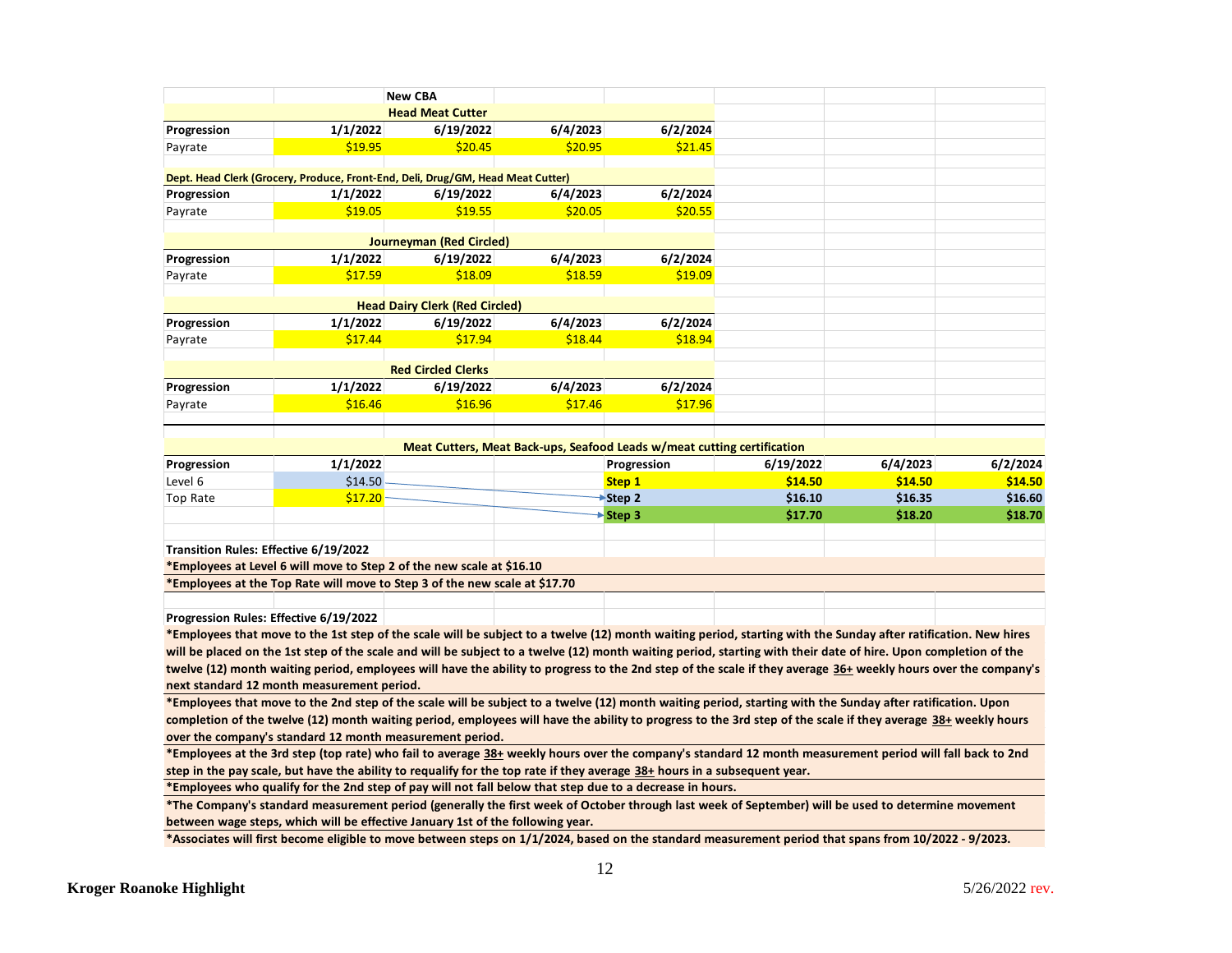|                                       |                                                                                                                                                                                                                                                                | <b>New CBA</b>                        |          |                                                                         |           |          |          |
|---------------------------------------|----------------------------------------------------------------------------------------------------------------------------------------------------------------------------------------------------------------------------------------------------------------|---------------------------------------|----------|-------------------------------------------------------------------------|-----------|----------|----------|
|                                       |                                                                                                                                                                                                                                                                | <b>Head Meat Cutter</b>               |          |                                                                         |           |          |          |
| Progression                           | 1/1/2022                                                                                                                                                                                                                                                       | 6/19/2022                             | 6/4/2023 | 6/2/2024                                                                |           |          |          |
| Payrate                               | \$19.95                                                                                                                                                                                                                                                        | \$20.45                               | \$20.95  | \$21.45                                                                 |           |          |          |
|                                       |                                                                                                                                                                                                                                                                |                                       |          |                                                                         |           |          |          |
|                                       | Dept. Head Clerk (Grocery, Produce, Front-End, Deli, Drug/GM, Head Meat Cutter)                                                                                                                                                                                |                                       |          |                                                                         |           |          |          |
| Progression                           | 1/1/2022                                                                                                                                                                                                                                                       | 6/19/2022                             | 6/4/2023 | 6/2/2024                                                                |           |          |          |
| Payrate                               | \$19.05                                                                                                                                                                                                                                                        | \$19.55                               | \$20.05  | \$20.55                                                                 |           |          |          |
|                                       |                                                                                                                                                                                                                                                                | <b>Journeyman (Red Circled)</b>       |          |                                                                         |           |          |          |
| Progression                           | 1/1/2022                                                                                                                                                                                                                                                       | 6/19/2022                             | 6/4/2023 | 6/2/2024                                                                |           |          |          |
| Payrate                               | \$17.59                                                                                                                                                                                                                                                        | \$18.09                               | \$18.59  | \$19.09                                                                 |           |          |          |
|                                       |                                                                                                                                                                                                                                                                | <b>Head Dairy Clerk (Red Circled)</b> |          |                                                                         |           |          |          |
| Progression                           | 1/1/2022                                                                                                                                                                                                                                                       | 6/19/2022                             | 6/4/2023 | 6/2/2024                                                                |           |          |          |
|                                       | \$17.44                                                                                                                                                                                                                                                        | \$17.94                               | \$18.44  | \$18.94                                                                 |           |          |          |
| Payrate                               |                                                                                                                                                                                                                                                                |                                       |          |                                                                         |           |          |          |
|                                       |                                                                                                                                                                                                                                                                | <b>Red Circled Clerks</b>             |          |                                                                         |           |          |          |
| Progression                           | 1/1/2022                                                                                                                                                                                                                                                       | 6/19/2022                             | 6/4/2023 | 6/2/2024                                                                |           |          |          |
| Payrate                               | \$16.46                                                                                                                                                                                                                                                        | \$16.96                               | \$17.46  | \$17.96                                                                 |           |          |          |
|                                       |                                                                                                                                                                                                                                                                |                                       |          |                                                                         |           |          |          |
|                                       |                                                                                                                                                                                                                                                                |                                       |          | Meat Cutters, Meat Back-ups, Seafood Leads w/meat cutting certification |           |          |          |
| Progression                           | 1/1/2022                                                                                                                                                                                                                                                       |                                       |          | Progression                                                             | 6/19/2022 | 6/4/2023 | 6/2/2024 |
| Level 6                               | \$14.50                                                                                                                                                                                                                                                        |                                       |          | Step 1                                                                  | \$14.50   | \$14.50  | \$14.50  |
| Top Rate                              | \$17.20                                                                                                                                                                                                                                                        |                                       |          | Step 2                                                                  | \$16.10   | \$16.35  | \$16.60  |
|                                       |                                                                                                                                                                                                                                                                |                                       |          | Step 3                                                                  | \$17.70   | \$18.20  | \$18.70  |
|                                       |                                                                                                                                                                                                                                                                |                                       |          |                                                                         |           |          |          |
| Transition Rules: Effective 6/19/2022 |                                                                                                                                                                                                                                                                |                                       |          |                                                                         |           |          |          |
|                                       |                                                                                                                                                                                                                                                                |                                       |          |                                                                         |           |          |          |
|                                       | *Employees at Level 6 will move to Step 2 of the new scale at \$16.10                                                                                                                                                                                          |                                       |          |                                                                         |           |          |          |
|                                       | *Employees at the Top Rate will move to Step 3 of the new scale at \$17.70                                                                                                                                                                                     |                                       |          |                                                                         |           |          |          |
|                                       |                                                                                                                                                                                                                                                                |                                       |          |                                                                         |           |          |          |
|                                       | Progression Rules: Effective 6/19/2022                                                                                                                                                                                                                         |                                       |          |                                                                         |           |          |          |
|                                       | *Employees that move to the 1st step of the scale will be subject to a twelve (12) month waiting period, starting with the Sunday after ratification. New hires                                                                                                |                                       |          |                                                                         |           |          |          |
|                                       | will be placed on the 1st step of the scale and will be subject to a twelve (12) month waiting period, starting with their date of hire. Upon completion of the                                                                                                |                                       |          |                                                                         |           |          |          |
|                                       | twelve (12) month waiting period, employees will have the ability to progress to the 2nd step of the scale if they average 36+ weekly hours over the company's                                                                                                 |                                       |          |                                                                         |           |          |          |
|                                       | next standard 12 month measurement period.                                                                                                                                                                                                                     |                                       |          |                                                                         |           |          |          |
|                                       | *Employees that move to the 2nd step of the scale will be subject to a twelve (12) month waiting period, starting with the Sunday after ratification. Upon                                                                                                     |                                       |          |                                                                         |           |          |          |
|                                       | completion of the twelve (12) month waiting period, employees will have the ability to progress to the 3rd step of the scale if they average 38+ weekly hours                                                                                                  |                                       |          |                                                                         |           |          |          |
|                                       | over the company's standard 12 month measurement period.                                                                                                                                                                                                       |                                       |          |                                                                         |           |          |          |
|                                       | *Employees at the 3rd step (top rate) who fail to average 38+ weekly hours over the company's standard 12 month measurement period will fall back to 2nd                                                                                                       |                                       |          |                                                                         |           |          |          |
|                                       | step in the pay scale, but have the ability to requalify for the top rate if they average 38+ hours in a subsequent year.                                                                                                                                      |                                       |          |                                                                         |           |          |          |
|                                       | *Employees who qualify for the 2nd step of pay will not fall below that step due to a decrease in hours.<br>*The Company's standard measurement period (generally the first week of October through last week of September) will be used to determine movement |                                       |          |                                                                         |           |          |          |

**\*Associates will first become eligible to move between steps on 1/1/2024, based on the standard measurement period that spans from 10/2022 - 9/2023.**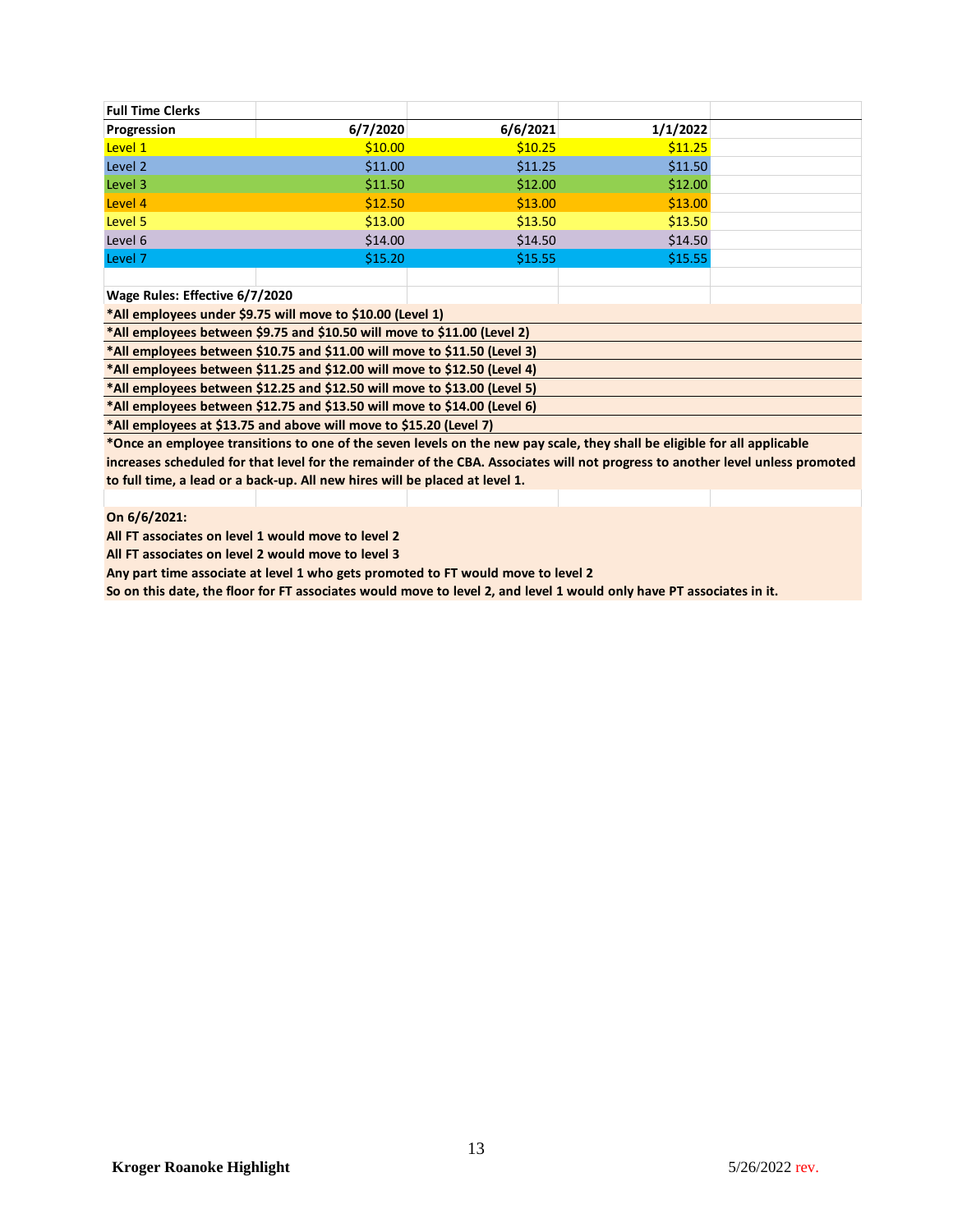| <b>Full Time Clerks</b>        |                                                                           |          |          |  |
|--------------------------------|---------------------------------------------------------------------------|----------|----------|--|
| Progression                    | 6/7/2020                                                                  | 6/6/2021 | 1/1/2022 |  |
| Level 1                        | \$10.00                                                                   | \$10.25  | \$11.25  |  |
| Level 2                        | \$11.00                                                                   | \$11.25  | \$11.50  |  |
| Level 3                        | \$11.50                                                                   | \$12.00  | \$12.00  |  |
| Level 4                        | \$12.50                                                                   | \$13.00  | \$13.00  |  |
| Level 5                        | \$13.00                                                                   | \$13.50  | \$13.50  |  |
| Level 6                        | \$14.00                                                                   | \$14.50  | \$14.50  |  |
| Level 7                        | \$15.20                                                                   | \$15.55  | \$15.55  |  |
|                                |                                                                           |          |          |  |
| Wage Rules: Effective 6/7/2020 |                                                                           |          |          |  |
|                                | *All employees under \$9.75 will move to \$10.00 (Level 1)                |          |          |  |
|                                | *All employees between \$9.75 and \$10.50 will move to \$11.00 (Level 2)  |          |          |  |
|                                | *All employees between \$10.75 and \$11.00 will move to \$11.50 (Level 3) |          |          |  |
|                                | *All employees between \$11.25 and \$12.00 will move to \$12.50 (Level 4) |          |          |  |
|                                | *All employees between \$12.25 and \$12.50 will move to \$13.00 (Level 5) |          |          |  |
|                                | *All employees between \$12.75 and \$13.50 will move to \$14.00 (Level 6) |          |          |  |
|                                |                                                                           |          |          |  |

**\*All employees at \$13.75 and above will move to \$15.20 (Level 7)**

**\*Once an employee transitions to one of the seven levels on the new pay scale, they shall be eligible for all applicable increases scheduled for that level for the remainder of the CBA. Associates will not progress to another level unless promoted to full time, a lead or a back-up. All new hires will be placed at level 1.** 

### **On 6/6/2021:**

**All FT associates on level 1 would move to level 2**

**All FT associates on level 2 would move to level 3**

**Any part time associate at level 1 who gets promoted to FT would move to level 2**

**So on this date, the floor for FT associates would move to level 2, and level 1 would only have PT associates in it.**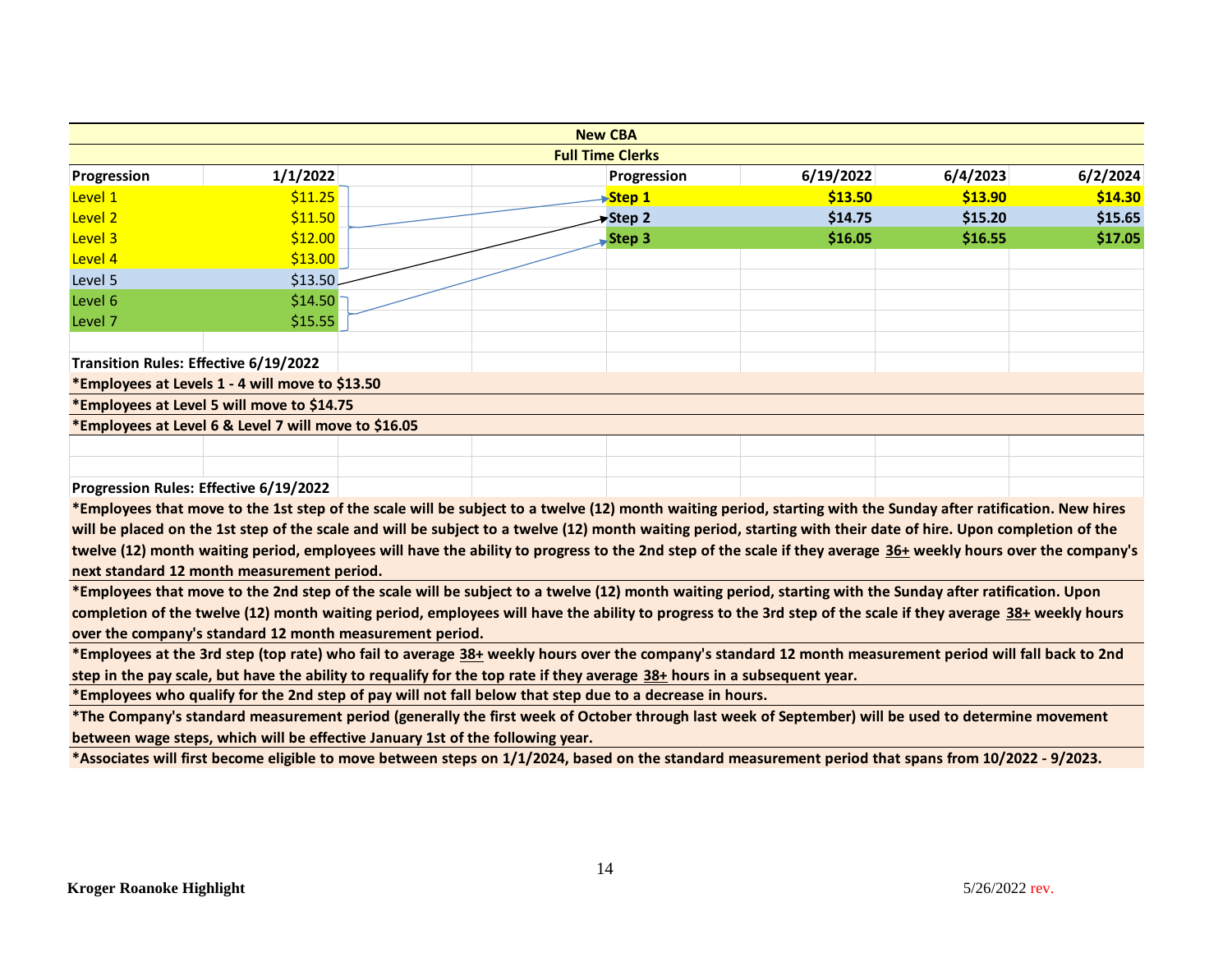|                                       |                                                                                                                           |  | <b>New CBA</b>          |                                                                                                                                                                 |          |          |
|---------------------------------------|---------------------------------------------------------------------------------------------------------------------------|--|-------------------------|-----------------------------------------------------------------------------------------------------------------------------------------------------------------|----------|----------|
|                                       |                                                                                                                           |  | <b>Full Time Clerks</b> |                                                                                                                                                                 |          |          |
| Progression                           | 1/1/2022                                                                                                                  |  | Progression             | 6/19/2022                                                                                                                                                       | 6/4/2023 | 6/2/2024 |
| Level 1                               | \$11.25                                                                                                                   |  | Step 1                  | \$13.50                                                                                                                                                         | \$13.90  | \$14.30  |
| Level 2                               | \$11.50                                                                                                                   |  | <del>&gt;</del> Step 2  | \$14.75                                                                                                                                                         | \$15.20  | \$15.65  |
| Level 3                               | \$12.00                                                                                                                   |  | <b>Step 3</b>           | \$16.05                                                                                                                                                         | \$16.55  | \$17.05  |
| Level 4                               | \$13.00                                                                                                                   |  |                         |                                                                                                                                                                 |          |          |
| Level 5                               | \$13.50\$                                                                                                                 |  |                         |                                                                                                                                                                 |          |          |
| Level 6                               | \$14.50                                                                                                                   |  |                         |                                                                                                                                                                 |          |          |
| Level 7                               | \$15.55                                                                                                                   |  |                         |                                                                                                                                                                 |          |          |
|                                       |                                                                                                                           |  |                         |                                                                                                                                                                 |          |          |
| Transition Rules: Effective 6/19/2022 |                                                                                                                           |  |                         |                                                                                                                                                                 |          |          |
|                                       | *Employees at Levels 1 - 4 will move to \$13.50                                                                           |  |                         |                                                                                                                                                                 |          |          |
|                                       | *Employees at Level 5 will move to \$14.75                                                                                |  |                         |                                                                                                                                                                 |          |          |
|                                       | *Employees at Level 6 & Level 7 will move to \$16.05                                                                      |  |                         |                                                                                                                                                                 |          |          |
|                                       |                                                                                                                           |  |                         |                                                                                                                                                                 |          |          |
|                                       |                                                                                                                           |  |                         |                                                                                                                                                                 |          |          |
|                                       | Progression Rules: Effective 6/19/2022                                                                                    |  |                         |                                                                                                                                                                 |          |          |
|                                       |                                                                                                                           |  |                         | *Employees that move to the 1st step of the scale will be subject to a twelve (12) month waiting period, starting with the Sunday after ratification. New hires |          |          |
|                                       |                                                                                                                           |  |                         | will be placed on the 1st step of the scale and will be subject to a twelve (12) month waiting period, starting with their date of hire. Upon completion of the |          |          |
|                                       |                                                                                                                           |  |                         | twelve (12) month waiting period, employees will have the ability to progress to the 2nd step of the scale if they average 36+ weekly hours over the company's  |          |          |
|                                       | next standard 12 month measurement period.                                                                                |  |                         |                                                                                                                                                                 |          |          |
|                                       |                                                                                                                           |  |                         | *Employees that move to the 2nd step of the scale will be subject to a twelve (12) month waiting period, starting with the Sunday after ratification. Upon      |          |          |
|                                       |                                                                                                                           |  |                         | completion of the twelve (12) month waiting period, employees will have the ability to progress to the 3rd step of the scale if they average 38+ weekly hours   |          |          |
|                                       | over the company's standard 12 month measurement period.                                                                  |  |                         |                                                                                                                                                                 |          |          |
|                                       |                                                                                                                           |  |                         | *Employees at the 3rd step (top rate) who fail to average 38+ weekly hours over the company's standard 12 month measurement period will fall back to 2nd        |          |          |
|                                       | step in the pay scale, but have the ability to requalify for the top rate if they average 38+ hours in a subsequent year. |  |                         |                                                                                                                                                                 |          |          |
|                                       | *Employees who qualify for the 2nd step of pay will not fall below that step due to a decrease in hours.                  |  |                         |                                                                                                                                                                 |          |          |
|                                       |                                                                                                                           |  |                         | *The Company's standard measurement period (generally the first week of October through last week of September) will be used to determine movement              |          |          |
|                                       | between wage steps, which will be effective January 1st of the following year.                                            |  |                         |                                                                                                                                                                 |          |          |
|                                       |                                                                                                                           |  |                         | *Associates will first become eligible to move between steps on 1/1/2024, based on the standard measurement period that spans from 10/2022 - 9/2023.            |          |          |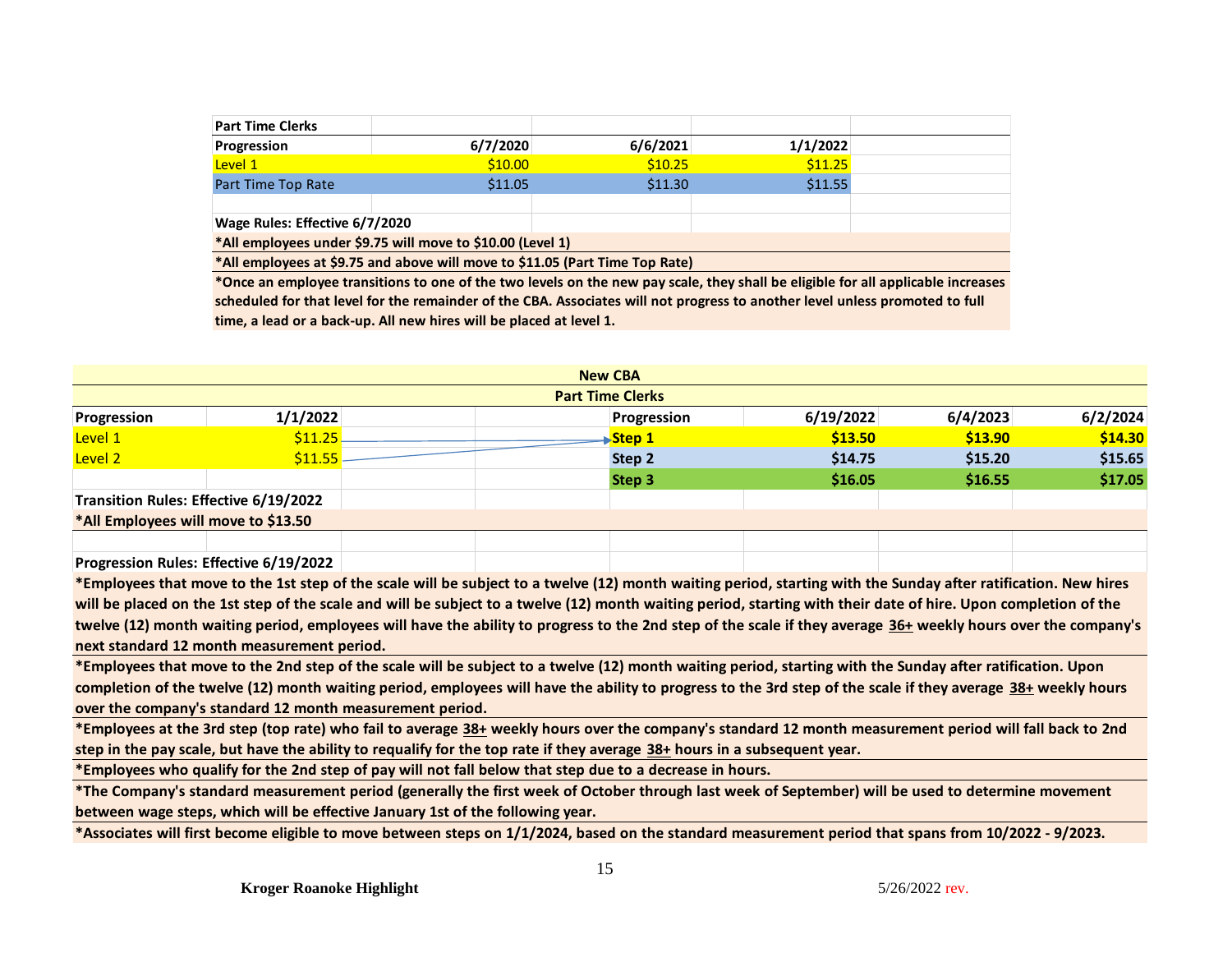| <b>Part Time Clerks</b>        |                                                                              |          |          |  |
|--------------------------------|------------------------------------------------------------------------------|----------|----------|--|
| Progression                    | 6/7/2020                                                                     | 6/6/2021 | 1/1/2022 |  |
| Level 1                        | \$10.00                                                                      | \$10.25  | \$11.25  |  |
| Part Time Top Rate             | \$11.05                                                                      | \$11.30  | \$11.55  |  |
|                                |                                                                              |          |          |  |
| Wage Rules: Effective 6/7/2020 |                                                                              |          |          |  |
|                                | *All employees under \$9.75 will move to \$10.00 (Level 1)                   |          |          |  |
|                                | *All employees at \$9.75 and above will move to \$11.05 (Part Time Top Rate) |          |          |  |

**\*Once an employee transitions to one of the two levels on the new pay scale, they shall be eligible for all applicable increases scheduled for that level for the remainder of the CBA. Associates will not progress to another level unless promoted to full time, a lead or a back-up. All new hires will be placed at level 1.** 

|                                       |          | <b>New CBA</b>          |           |          |          |
|---------------------------------------|----------|-------------------------|-----------|----------|----------|
|                                       |          | <b>Part Time Clerks</b> |           |          |          |
| Progression                           | 1/1/2022 | Progression             | 6/19/2022 | 6/4/2023 | 6/2/2024 |
| Level 1                               | \$11.25  | Step 1                  | \$13.50   | \$13.90  | \$14.30  |
| Level 2                               | \$11.55  | Step 2                  | \$14.75   | \$15.20  | \$15.65  |
|                                       |          | Step 3                  | \$16.05   | \$16.55  | \$17.05  |
| Transition Rules: Effective 6/19/2022 |          |                         |           |          |          |
| *All Employees will move to \$13.50   |          |                         |           |          |          |
|                                       |          |                         |           |          |          |

**Progression Rules: Effective 6/19/2022**

**\*Employees that move to the 1st step of the scale will be subject to a twelve (12) month waiting period, starting with the Sunday after ratification. New hires will be placed on the 1st step of the scale and will be subject to a twelve (12) month waiting period, starting with their date of hire. Upon completion of the**  twelve (12) month waiting period, employees will have the ability to progress to the 2nd step of the scale if they average 36+ weekly hours over the company's **next standard 12 month measurement period.** 

**\*Employees that move to the 2nd step of the scale will be subject to a twelve (12) month waiting period, starting with the Sunday after ratification. Upon completion of the twelve (12) month waiting period, employees will have the ability to progress to the 3rd step of the scale if they average 38+ weekly hours over the company's standard 12 month measurement period.** 

**\*Employees at the 3rd step (top rate) who fail to average 38+ weekly hours over the company's standard 12 month measurement period will fall back to 2nd step in the pay scale, but have the ability to requalify for the top rate if they average 38+ hours in a subsequent year.**

**\*Employees who qualify for the 2nd step of pay will not fall below that step due to a decrease in hours.**

**\*The Company's standard measurement period (generally the first week of October through last week of September) will be used to determine movement between wage steps, which will be effective January 1st of the following year.** 

**\*Associates will first become eligible to move between steps on 1/1/2024, based on the standard measurement period that spans from 10/2022 - 9/2023.**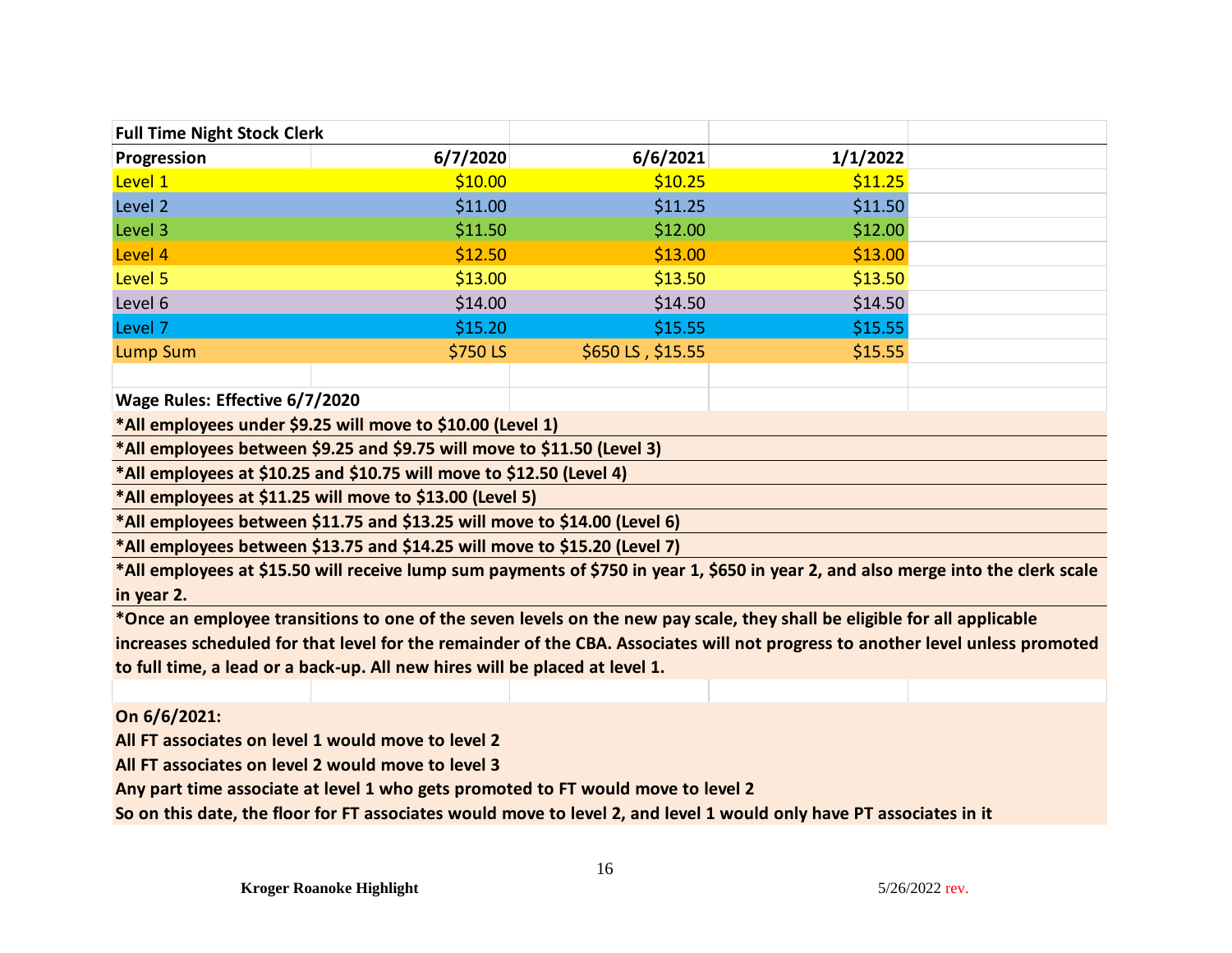| <b>Full Time Night Stock Clerk</b> |          |                   |          |  |
|------------------------------------|----------|-------------------|----------|--|
| Progression                        | 6/7/2020 | 6/6/2021          | 1/1/2022 |  |
| Level 1                            | \$10.00  | \$10.25           | \$11.25  |  |
| Level 2                            | \$11.00  | \$11.25           | \$11.50  |  |
| Level 3                            | \$11.50  | \$12.00           | \$12.00  |  |
| Level 4                            | \$12.50  | \$13.00           | \$13.00  |  |
| Level 5                            | \$13.00  | \$13.50           | \$13.50  |  |
| Level 6                            | \$14.00  | \$14.50           | \$14.50  |  |
| Level 7                            | \$15.20  | \$15.55           | \$15.55  |  |
| Lump Sum                           | \$750 LS | \$650 LS, \$15.55 | \$15.55  |  |
|                                    |          |                   |          |  |

**Wage Rules: Effective 6/7/2020**

**\*All employees under \$9.25 will move to \$10.00 (Level 1)**

**\*All employees between \$9.25 and \$9.75 will move to \$11.50 (Level 3)**

**\*All employees at \$10.25 and \$10.75 will move to \$12.50 (Level 4)**

**\*All employees at \$11.25 will move to \$13.00 (Level 5)**

**\*All employees between \$11.75 and \$13.25 will move to \$14.00 (Level 6)**

**\*All employees between \$13.75 and \$14.25 will move to \$15.20 (Level 7)**

**\*All employees at \$15.50 will receive lump sum payments of \$750 in year 1, \$650 in year 2, and also merge into the clerk scale in year 2.** 

**\*Once an employee transitions to one of the seven levels on the new pay scale, they shall be eligible for all applicable increases scheduled for that level for the remainder of the CBA. Associates will not progress to another level unless promoted to full time, a lead or a back-up. All new hires will be placed at level 1.** 

**On 6/6/2021:**

**All FT associates on level 1 would move to level 2**

**All FT associates on level 2 would move to level 3**

**Any part time associate at level 1 who gets promoted to FT would move to level 2**

**So on this date, the floor for FT associates would move to level 2, and level 1 would only have PT associates in it**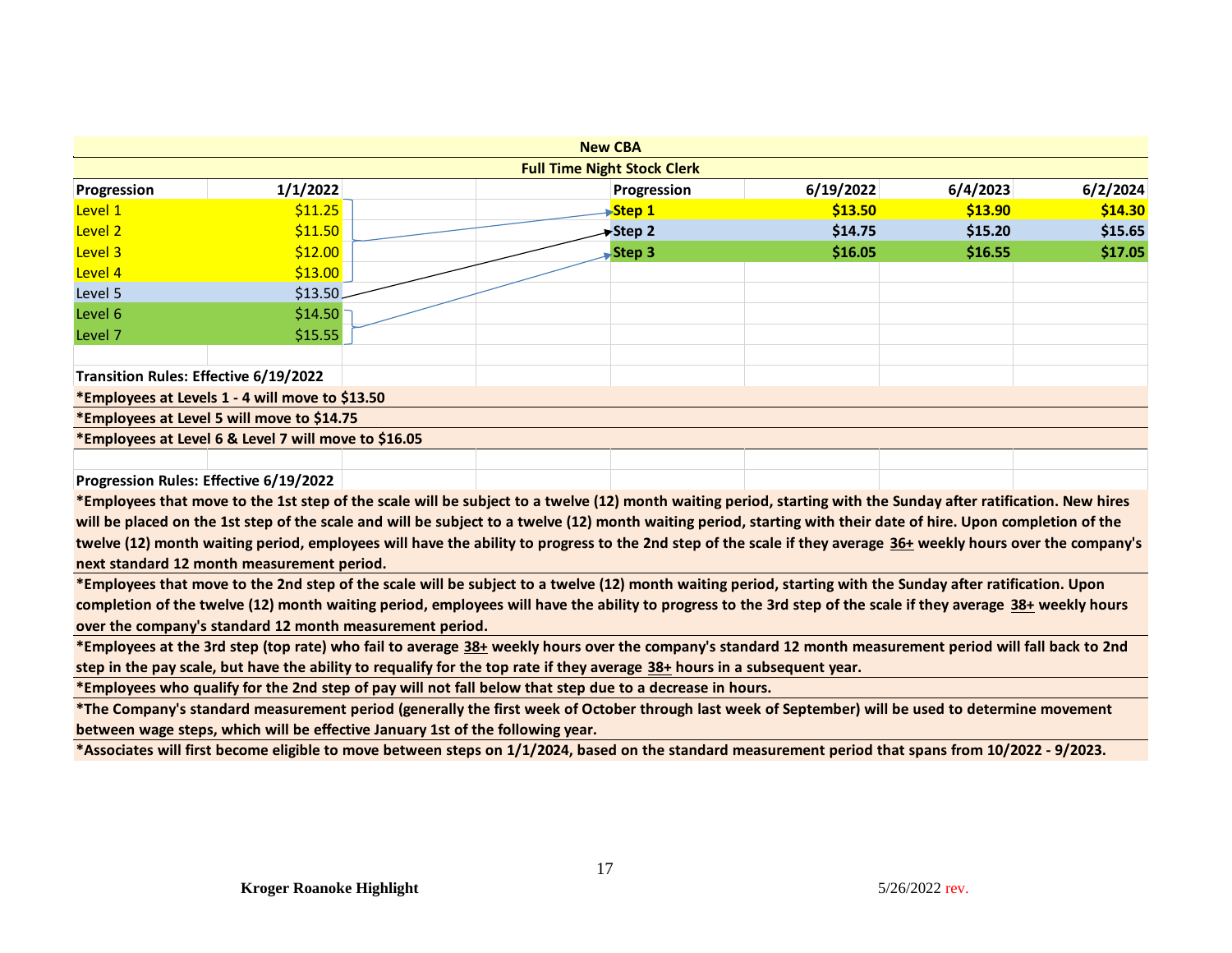|                                                                                                                                                               |                                                      |  | <b>New CBA</b>                                                                                                                                                  |             |           |          |          |  |
|---------------------------------------------------------------------------------------------------------------------------------------------------------------|------------------------------------------------------|--|-----------------------------------------------------------------------------------------------------------------------------------------------------------------|-------------|-----------|----------|----------|--|
| <b>Full Time Night Stock Clerk</b>                                                                                                                            |                                                      |  |                                                                                                                                                                 |             |           |          |          |  |
| Progression                                                                                                                                                   | 1/1/2022                                             |  |                                                                                                                                                                 | Progression | 6/19/2022 | 6/4/2023 | 6/2/2024 |  |
| Level 1                                                                                                                                                       | \$11.25                                              |  |                                                                                                                                                                 | Step 1      | \$13.50   | \$13.90  | \$14.30  |  |
| Level 2                                                                                                                                                       | \$11.50                                              |  |                                                                                                                                                                 | Step 2      | \$14.75   | \$15.20  | \$15.65  |  |
| Level 3                                                                                                                                                       | \$12.00                                              |  |                                                                                                                                                                 | Step 3      | \$16.05   | \$16.55  | \$17.05  |  |
| Level 4                                                                                                                                                       | \$13.00                                              |  |                                                                                                                                                                 |             |           |          |          |  |
| Level 5                                                                                                                                                       | \$13.50                                              |  |                                                                                                                                                                 |             |           |          |          |  |
| Level 6                                                                                                                                                       | \$14.50                                              |  |                                                                                                                                                                 |             |           |          |          |  |
| Level 7                                                                                                                                                       | \$15.55                                              |  |                                                                                                                                                                 |             |           |          |          |  |
|                                                                                                                                                               |                                                      |  |                                                                                                                                                                 |             |           |          |          |  |
| Transition Rules: Effective 6/19/2022                                                                                                                         |                                                      |  |                                                                                                                                                                 |             |           |          |          |  |
|                                                                                                                                                               | *Employees at Levels 1 - 4 will move to \$13.50      |  |                                                                                                                                                                 |             |           |          |          |  |
|                                                                                                                                                               | *Employees at Level 5 will move to \$14.75           |  |                                                                                                                                                                 |             |           |          |          |  |
|                                                                                                                                                               | *Employees at Level 6 & Level 7 will move to \$16.05 |  |                                                                                                                                                                 |             |           |          |          |  |
|                                                                                                                                                               |                                                      |  |                                                                                                                                                                 |             |           |          |          |  |
|                                                                                                                                                               | Progression Rules: Effective 6/19/2022               |  |                                                                                                                                                                 |             |           |          |          |  |
|                                                                                                                                                               |                                                      |  | *Employees that move to the 1st step of the scale will be subject to a twelve (12) month waiting period, starting with the Sunday after ratification. New hires |             |           |          |          |  |
|                                                                                                                                                               |                                                      |  | will be placed on the 1st step of the scale and will be subject to a twelve (12) month waiting period, starting with their date of hire. Upon completion of the |             |           |          |          |  |
|                                                                                                                                                               |                                                      |  | twelve (12) month waiting period, employees will have the ability to progress to the 2nd step of the scale if they average 36+ weekly hours over the company's  |             |           |          |          |  |
| next standard 12 month measurement period.                                                                                                                    |                                                      |  |                                                                                                                                                                 |             |           |          |          |  |
|                                                                                                                                                               |                                                      |  | *Employees that move to the 2nd step of the scale will be subject to a twelve (12) month waiting period, starting with the Sunday after ratification. Upon      |             |           |          |          |  |
| completion of the twelve (12) month waiting period, employees will have the ability to progress to the 3rd step of the scale if they average 38+ weekly hours |                                                      |  |                                                                                                                                                                 |             |           |          |          |  |
| over the company's standard 12 month measurement period.                                                                                                      |                                                      |  |                                                                                                                                                                 |             |           |          |          |  |
| *Employees at the 3rd step (top rate) who fail to average 38+ weekly hours over the company's standard 12 month measurement period will fall back to 2nd      |                                                      |  |                                                                                                                                                                 |             |           |          |          |  |
| step in the pay scale, but have the ability to requalify for the top rate if they average 38+ hours in a subsequent year.                                     |                                                      |  |                                                                                                                                                                 |             |           |          |          |  |
| *Employees who qualify for the 2nd step of pay will not fall below that step due to a decrease in hours.                                                      |                                                      |  |                                                                                                                                                                 |             |           |          |          |  |
| *The Company's standard measurement period (generally the first week of October through last week of September) will be used to determine movement            |                                                      |  |                                                                                                                                                                 |             |           |          |          |  |
| between wage steps, which will be effective January 1st of the following year.                                                                                |                                                      |  |                                                                                                                                                                 |             |           |          |          |  |
| *Associates will first become eligible to move between steps on 1/1/2024, based on the standard measurement period that spans from 10/2022 - 9/2023.          |                                                      |  |                                                                                                                                                                 |             |           |          |          |  |
|                                                                                                                                                               |                                                      |  |                                                                                                                                                                 |             |           |          |          |  |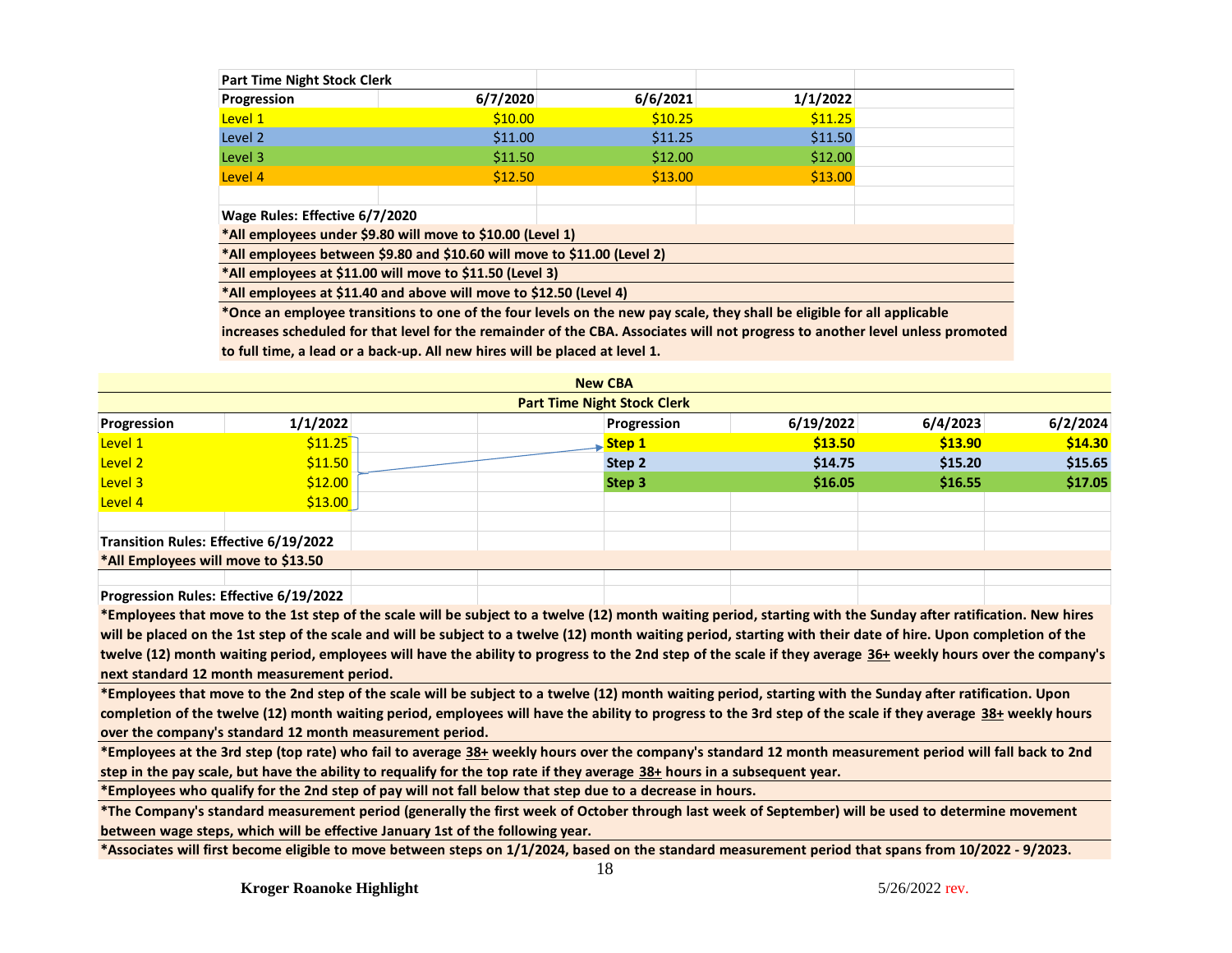| <b>Part Time Night Stock Clerk</b> |                                                                          |          |          |  |
|------------------------------------|--------------------------------------------------------------------------|----------|----------|--|
| Progression                        | 6/7/2020                                                                 | 6/6/2021 | 1/1/2022 |  |
| Level 1                            | \$10.00                                                                  | \$10.25  | \$11.25  |  |
| Level 2                            | \$11.00                                                                  | \$11.25  | \$11.50  |  |
| Level 3                            | \$11.50                                                                  | \$12.00  | \$12.00  |  |
| Level 4                            | \$12.50                                                                  | \$13.00  | \$13.00  |  |
|                                    |                                                                          |          |          |  |
| Wage Rules: Effective 6/7/2020     |                                                                          |          |          |  |
|                                    | *All employees under \$9.80 will move to \$10.00 (Level 1)               |          |          |  |
|                                    | *All employees between \$9.80 and \$10.60 will move to \$11.00 (Level 2) |          |          |  |
|                                    | *All employees at \$11.00 will move to \$11.50 (Level 3)                 |          |          |  |

**\*All employees at \$11.40 and above will move to \$12.50 (Level 4)**

**\*Once an employee transitions to one of the four levels on the new pay scale, they shall be eligible for all applicable** 

**increases scheduled for that level for the remainder of the CBA. Associates will not progress to another level unless promoted to full time, a lead or a back-up. All new hires will be placed at level 1.** 

| <b>New CBA</b>                        |          |  |  |             |           |          |          |  |
|---------------------------------------|----------|--|--|-------------|-----------|----------|----------|--|
| <b>Part Time Night Stock Clerk</b>    |          |  |  |             |           |          |          |  |
| Progression                           | 1/1/2022 |  |  | Progression | 6/19/2022 | 6/4/2023 | 6/2/2024 |  |
| Level 1                               | \$11.25  |  |  | Step 1      | \$13.50   | \$13.90  | \$14.30  |  |
| Level 2                               | \$11.50  |  |  | Step 2      | \$14.75   | \$15.20  | \$15.65  |  |
| Level 3                               | \$12.00  |  |  | Step 3      | \$16.05   | \$16.55  | \$17.05  |  |
| Level 4                               | \$13.00  |  |  |             |           |          |          |  |
| Transition Rules: Effective 6/19/2022 |          |  |  |             |           |          |          |  |
| *All Employees will move to \$13.50   |          |  |  |             |           |          |          |  |
|                                       |          |  |  |             |           |          |          |  |

**Progression Rules: Effective 6/19/2022**

**\*Employees that move to the 1st step of the scale will be subject to a twelve (12) month waiting period, starting with the Sunday after ratification. New hires**  will be placed on the 1st step of the scale and will be subject to a twelve (12) month waiting period, starting with their date of hire. Upon completion of the **twelve (12) month waiting period, employees will have the ability to progress to the 2nd step of the scale if they average 36+ weekly hours over the company's next standard 12 month measurement period.** 

**\*Employees that move to the 2nd step of the scale will be subject to a twelve (12) month waiting period, starting with the Sunday after ratification. Upon completion of the twelve (12) month waiting period, employees will have the ability to progress to the 3rd step of the scale if they average 38+ weekly hours over the company's standard 12 month measurement period.** 

**\*Employees at the 3rd step (top rate) who fail to average 38+ weekly hours over the company's standard 12 month measurement period will fall back to 2nd step in the pay scale, but have the ability to requalify for the top rate if they average 38+ hours in a subsequent year.**

**\*Employees who qualify for the 2nd step of pay will not fall below that step due to a decrease in hours.**

**\*The Company's standard measurement period (generally the first week of October through last week of September) will be used to determine movement between wage steps, which will be effective January 1st of the following year.** 

**\*Associates will first become eligible to move between steps on 1/1/2024, based on the standard measurement period that spans from 10/2022 - 9/2023.**